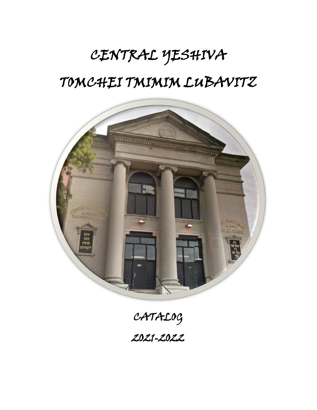# CENTRAL YESHIVA TOMCHEI TMIMIM LUBAVITZ



CATALOG 2021-2022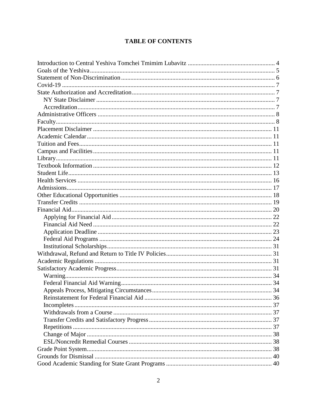# **TABLE OF CONTENTS**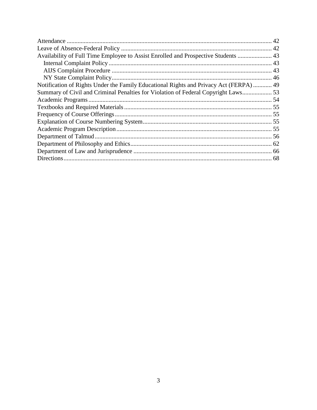| Availability of Full Time Employee to Assist Enrolled and Prospective Students  43     |
|----------------------------------------------------------------------------------------|
|                                                                                        |
|                                                                                        |
|                                                                                        |
| Notification of Rights Under the Family Educational Rights and Privacy Act (FERPA)  49 |
| Summary of Civil and Criminal Penalties for Violation of Federal Copyright Laws 53     |
|                                                                                        |
|                                                                                        |
|                                                                                        |
|                                                                                        |
|                                                                                        |
|                                                                                        |
|                                                                                        |
|                                                                                        |
|                                                                                        |
|                                                                                        |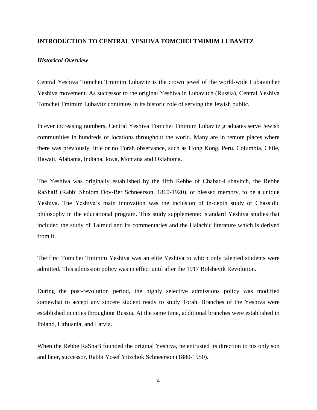#### <span id="page-3-0"></span>**INTRODUCTION TO CENTRAL YESHIVA TOMCHEI TMIMIM LUBAVITZ**

#### *Historical Overview*

Central Yeshiva Tomchei Tmimim Lubavitz is the crown jewel of the world-wide Lubavitcher Yeshiva movement. As successor to the original Yeshiva in Lubavitch (Russia), Central Yeshiva Tomchei Tmimim Lubavitz continues in its historic role of serving the Jewish public.

In ever increasing numbers, Central Yeshiva Tomchei Tmimim Lubavitz graduates serve Jewish communities in hundreds of locations throughout the world. Many are in remote places where there was previously little or no Torah observance, such as Hong Kong, Peru, Columbia, Chile, Hawaii, Alabama, Indiana, Iowa, Montana and Oklahoma.

The Yeshiva was originally established by the fifth Rebbe of Chabad-Lubavitch, the Rebbe RaShaB (Rabbi Sholom Dov-Ber Schneerson, 1860-1920), of blessed memory, to be a unique Yeshiva. The Yeshiva's main innovation was the inclusion of in-depth study of Chassidic philosophy in the educational program. This study supplemented standard Yeshiva studies that included the study of Talmud and its commentaries and the Halachic literature which is derived from it.

The first Tomchei Tmimim Yeshiva was an elite Yeshiva to which only talented students were admitted. This admission policy was in effect until after the 1917 Bolshevik Revolution.

During the post-revolution period, the highly selective admissions policy was modified somewhat to accept any sincere student ready to study Torah. Branches of the Yeshiva were established in cities throughout Russia. At the same time, additional branches were established in Poland, Lithuania, and Latvia.

When the Rebbe RaShaB founded the original Yeshiva, he entrusted its direction to his only son and later, successor, Rabbi Yosef Yitzchok Schneerson (1880-1950).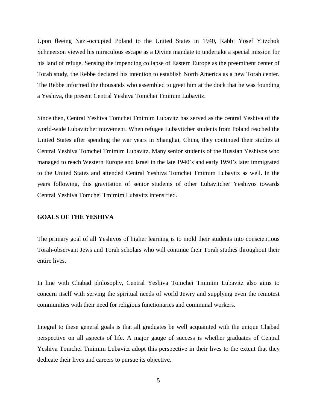Upon fleeing Nazi-occupied Poland to the United States in 1940, Rabbi Yosef Yitzchok Schneerson viewed his miraculous escape as a Divine mandate to undertake a special mission for his land of refuge. Sensing the impending collapse of Eastern Europe as the preeminent center of Torah study, the Rebbe declared his intention to establish North America as a new Torah center. The Rebbe informed the thousands who assembled to greet him at the dock that he was founding a Yeshiva, the present Central Yeshiva Tomchei Tmimim Lubavitz.

Since then, Central Yeshiva Tomchei Tmimim Lubavitz has served as the central Yeshiva of the world-wide Lubavitcher movement. When refugee Lubavitcher students from Poland reached the United States after spending the war years in Shanghai, China, they continued their studies at Central Yeshiva Tomchei Tmimim Lubavitz. Many senior students of the Russian Yeshivos who managed to reach Western Europe and Israel in the late 1940's and early 1950's later immigrated to the United States and attended Central Yeshiva Tomchei Tmimim Lubavitz as well. In the years following, this gravitation of senior students of other Lubavitcher Yeshivos towards Central Yeshiva Tomchei Tmimim Lubavitz intensified.

#### <span id="page-4-0"></span>**GOALS OF THE YESHIVA**

The primary goal of all Yeshivos of higher learning is to mold their students into conscientious Torah-observant Jews and Torah scholars who will continue their Torah studies throughout their entire lives.

In line with Chabad philosophy, Central Yeshiva Tomchei Tmimim Lubavitz also aims to concern itself with serving the spiritual needs of world Jewry and supplying even the remotest communities with their need for religious functionaries and communal workers.

Integral to these general goals is that all graduates be well acquainted with the unique Chabad perspective on all aspects of life. A major gauge of success is whether graduates of Central Yeshiva Tomchei Tmimim Lubavitz adopt this perspective in their lives to the extent that they dedicate their lives and careers to pursue its objective.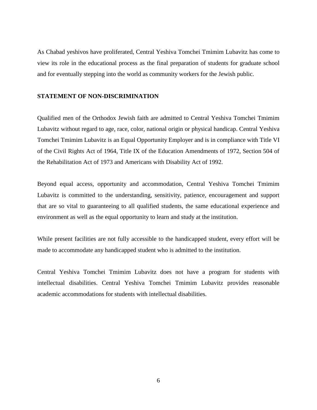As Chabad yeshivos have proliferated, Central Yeshiva Tomchei Tmimim Lubavitz has come to view its role in the educational process as the final preparation of students for graduate school and for eventually stepping into the world as community workers for the Jewish public.

#### <span id="page-5-0"></span>**STATEMENT OF NON-DISCRIMINATION**

Qualified men of the Orthodox Jewish faith are admitted to Central Yeshiva Tomchei Tmimim Lubavitz without regard to age, race, color, national origin or physical handicap. Central Yeshiva Tomchei Tmimim Lubavitz is an Equal Opportunity Employer and is in compliance with Title VI of the Civil Rights Act of 1964, Title IX of the Education Amendments of 1972, Section 504 of the Rehabilitation Act of 1973 and Americans with Disability Act of 1992.

Beyond equal access, opportunity and accommodation, Central Yeshiva Tomchei Tmimim Lubavitz is committed to the understanding, sensitivity, patience, encouragement and support that are so vital to guaranteeing to all qualified students, the same educational experience and environment as well as the equal opportunity to learn and study at the institution.

While present facilities are not fully accessible to the handicapped student, every effort will be made to accommodate any handicapped student who is admitted to the institution.

Central Yeshiva Tomchei Tmimim Lubavitz does not have a program for students with intellectual disabilities. Central Yeshiva Tomchei Tmimim Lubavitz provides reasonable academic accommodations for students with intellectual disabilities.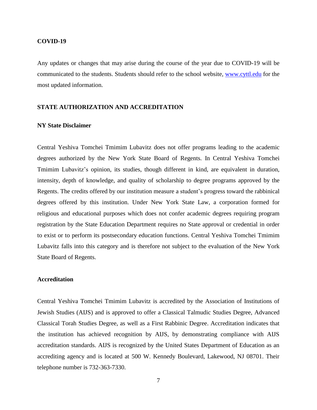#### <span id="page-6-0"></span>**COVID-19**

Any updates or changes that may arise during the course of the year due to COVID-19 will be communicated to the students. Students should refer to the school website,<www.cyttl.edu> for the most updated information.

#### <span id="page-6-1"></span>**STATE AUTHORIZATION AND ACCREDITATION**

## <span id="page-6-2"></span>**NY State Disclaimer**

Central Yeshiva Tomchei Tmimim Lubavitz does not offer programs leading to the academic degrees authorized by the New York State Board of Regents. In Central Yeshiva Tomchei Tmimim Lubavitz's opinion, its studies, though different in kind, are equivalent in duration, intensity, depth of knowledge, and quality of scholarship to degree programs approved by the Regents. The credits offered by our institution measure a student's progress toward the rabbinical degrees offered by this institution. Under New York State Law, a corporation formed for religious and educational purposes which does not confer academic degrees requiring program registration by the State Education Department requires no State approval or credential in order to exist or to perform its postsecondary education functions. Central Yeshiva Tomchei Tmimim Lubavitz falls into this category and is therefore not subject to the evaluation of the New York State Board of Regents.

#### <span id="page-6-3"></span>**Accreditation**

Central Yeshiva Tomchei Tmimim Lubavitz is accredited by the Association of Institutions of Jewish Studies (AIJS) and is approved to offer a Classical Talmudic Studies Degree, Advanced Classical Torah Studies Degree, as well as a First Rabbinic Degree. Accreditation indicates that the institution has achieved recognition by AIJS, by demonstrating compliance with AIJS accreditation standards. AIJS is recognized by the United States Department of Education as an accrediting agency and is located at 500 W. Kennedy Boulevard, Lakewood, NJ 08701. Their telephone number is 732-363-7330.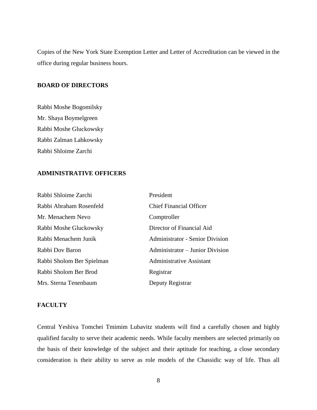Copies of the New York State Exemption Letter and Letter of Accreditation can be viewed in the office during regular business hours.

# **BOARD OF DIRECTORS**

Rabbi Moshe Bogomilsky Mr. Shaya Boymelgreen Rabbi Moshe Gluckowsky Rabbi Zalman Labkowsky Rabbi Shloime Zarchi

#### <span id="page-7-0"></span>**ADMINISTRATIVE OFFICERS**

| Rabbi Shloime Zarchi      | President                              |
|---------------------------|----------------------------------------|
| Rabbi Abraham Rosenfeld   | <b>Chief Financial Officer</b>         |
| Mr. Menachem Nevo         | Comptroller                            |
| Rabbi Moshe Gluckowsky    | Director of Financial Aid              |
| Rabbi Menachem Junik      | <b>Administrator - Senior Division</b> |
| Rabbi Dov Baron           | Administrator – Junior Division        |
| Rabbi Sholom Ber Spielman | <b>Administrative Assistant</b>        |
| Rabbi Sholom Ber Brod     | Registrar                              |
| Mrs. Sterna Tenenbaum     | Deputy Registrar                       |

#### <span id="page-7-1"></span>**FACULTY**

Central Yeshiva Tomchei Tmimim Lubavitz students will find a carefully chosen and highly qualified faculty to serve their academic needs. While faculty members are selected primarily on the basis of their knowledge of the subject and their aptitude for teaching, a close secondary consideration is their ability to serve as role models of the Chassidic way of life. Thus all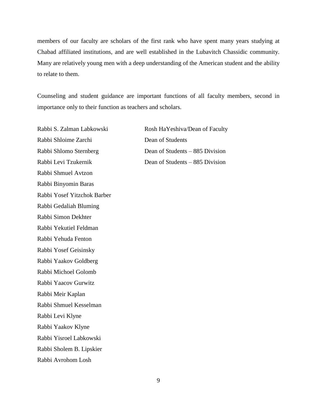members of our faculty are scholars of the first rank who have spent many years studying at Chabad affiliated institutions, and are well established in the Lubavitch Chassidic community. Many are relatively young men with a deep understanding of the American student and the ability to relate to them.

Counseling and student guidance are important functions of all faculty members, second in importance only to their function as teachers and scholars.

Rabbi Shloime Zarchi Dean of Students Rabbi Shmuel Avtzon Rabbi Binyomin Baras Rabbi Yosef Yitzchok Barber Rabbi Gedaliah Bluming Rabbi Simon Dekhter Rabbi Yekutiel Feldman Rabbi Yehuda Fenton Rabbi Yosef Geisinsky Rabbi Yaakov Goldberg Rabbi Michoel Golomb Rabbi Yaacov Gurwitz Rabbi Meir Kaplan Rabbi Shmuel Kesselman Rabbi Levi Klyne Rabbi Yaakov Klyne Rabbi Yisroel Labkowski Rabbi Sholem B. Lipskier Rabbi Avrohom Losh

Rabbi S. Zalman Labkowski Rosh HaYeshiva/Dean of Faculty Rabbi Shlomo Sternberg Dean of Students – 885 Division Rabbi Levi Tzukernik Dean of Students – 885 Division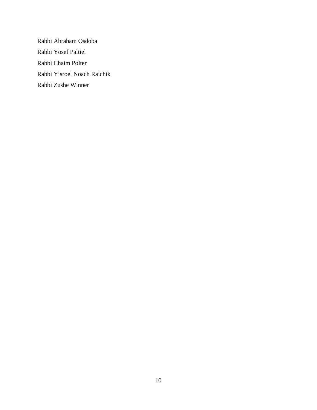Rabbi Abraham Osdoba Rabbi Yosef Paltiel Rabbi Chaim Polter Rabbi Yisroel Noach Raichik Rabbi Zushe Winner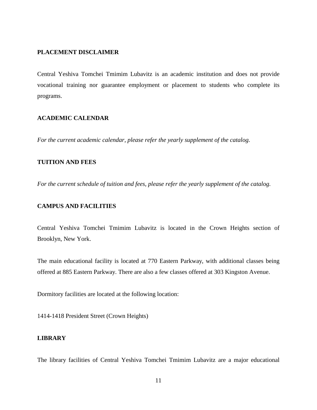#### <span id="page-10-0"></span>**PLACEMENT DISCLAIMER**

Central Yeshiva Tomchei Tmimim Lubavitz is an academic institution and does not provide vocational training nor guarantee employment or placement to students who complete its programs.

# <span id="page-10-1"></span>**ACADEMIC CALENDAR**

*For the current academic calendar, please refer the yearly supplement of the catalog.*

# <span id="page-10-2"></span>**TUITION AND FEES**

*For the current schedule of tuition and fees, please refer the yearly supplement of the catalog.*

# <span id="page-10-3"></span>**CAMPUS AND FACILITIES**

Central Yeshiva Tomchei Tmimim Lubavitz is located in the Crown Heights section of Brooklyn, New York.

The main educational facility is located at 770 Eastern Parkway, with additional classes being offered at 885 Eastern Parkway. There are also a few classes offered at 303 Kingston Avenue.

Dormitory facilities are located at the following location:

1414-1418 President Street (Crown Heights)

#### <span id="page-10-4"></span>**LIBRARY**

The library facilities of Central Yeshiva Tomchei Tmimim Lubavitz are a major educational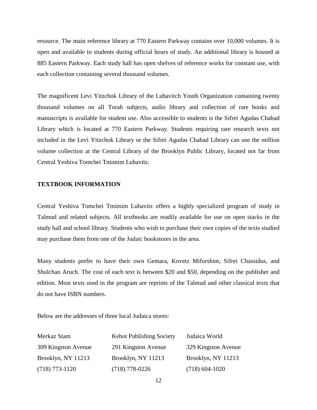resource. The main reference library at 770 Eastern Parkway contains over 10,000 volumes. It is open and available to students during official hours of study. An additional library is housed at 885 Eastern Parkway. Each study hall has open shelves of reference works for constant use, with each collection containing several thousand volumes.

The magnificent Levi Yitzchok Library of the Lubavitch Youth Organization containing twenty thousand volumes on all Torah subjects, audio library and collection of rare books and manuscripts is available for student use. Also accessible to students is the Sifrei Agudas Chabad Library which is located at 770 Eastern Parkway. Students requiring rare research texts not included in the Levi Yitzchok Library or the Sifrei Agudas Chabad Library can use the million volume collection at the Central Library of the Brooklyn Public Library, located not far from Central Yeshiva Tomchei Tmimim Lubavitz.

#### <span id="page-11-0"></span>**TEXTBOOK INFORMATION**

Central Yeshiva Tomchei Tmimim Lubavitz offers a highly specialized program of study in Talmud and related subjects. All textbooks are readily available for use on open stacks in the study hall and school library. Students who wish to purchase their own copies of the texts studied may purchase them from one of the Judaic bookstores in the area.

Many students prefer to have their own Gemara, Kovetz Miforshim, Sifrei Chassidus, and Shulchan Aruch. The cost of each text is between \$20 and \$50, depending on the publisher and edition. Most texts used in the program are reprints of the Talmud and other classical texts that do not have ISBN numbers.

Below are the addresses of three local Judaica stores:

| Merkaz Stam         | <b>Kehot Publishing Society</b> | Judaica World       |
|---------------------|---------------------------------|---------------------|
| 309 Kingston Avenue | 291 Kingston Avenue             | 329 Kingston Avenue |
| Brooklyn, NY 11213  | Brooklyn, NY 11213              | Brooklyn, NY 11213  |
| $(718)$ 773-1120    | $(718)$ 778-0226                | $(718)$ 604-1020    |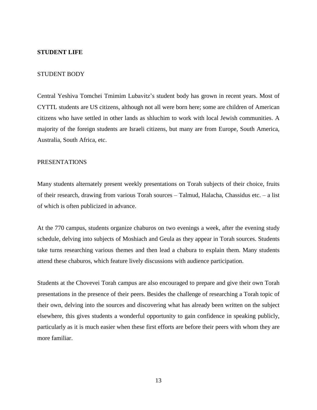#### <span id="page-12-0"></span>**STUDENT LIFE**

#### STUDENT BODY

Central Yeshiva Tomchei Tmimim Lubavitz's student body has grown in recent years. Most of CYTTL students are US citizens, although not all were born here; some are children of American citizens who have settled in other lands as shluchim to work with local Jewish communities. A majority of the foreign students are Israeli citizens, but many are from Europe, South America, Australia, South Africa, etc.

# PRESENTATIONS

Many students alternately present weekly presentations on Torah subjects of their choice, fruits of their research, drawing from various Torah sources – Talmud, Halacha, Chassidus etc. – a list of which is often publicized in advance.

At the 770 campus, students organize chaburos on two evenings a week, after the evening study schedule, delving into subjects of Moshiach and Geula as they appear in Torah sources. Students take turns researching various themes and then lead a chabura to explain them. Many students attend these chaburos, which feature lively discussions with audience participation.

Students at the Chovevei Torah campus are also encouraged to prepare and give their own Torah presentations in the presence of their peers. Besides the challenge of researching a Torah topic of their own, delving into the sources and discovering what has already been written on the subject elsewhere, this gives students a wonderful opportunity to gain confidence in speaking publicly, particularly as it is much easier when these first efforts are before their peers with whom they are more familiar.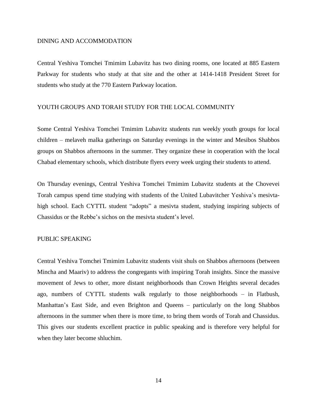#### DINING AND ACCOMMODATION

Central Yeshiva Tomchei Tmimim Lubavitz has two dining rooms, one located at 885 Eastern Parkway for students who study at that site and the other at 1414-1418 President Street for students who study at the 770 Eastern Parkway location.

#### YOUTH GROUPS AND TORAH STUDY FOR THE LOCAL COMMUNITY

Some Central Yeshiva Tomchei Tmimim Lubavitz students run weekly youth groups for local children – melaveh malka gatherings on Saturday evenings in the winter and Mesibos Shabbos groups on Shabbos afternoons in the summer. They organize these in cooperation with the local Chabad elementary schools, which distribute flyers every week urging their students to attend.

On Thursday evenings, Central Yeshiva Tomchei Tmimim Lubavitz students at the Chovevei Torah campus spend time studying with students of the United Lubavitcher Yeshiva's mesivtahigh school. Each CYTTL student "adopts" a mesivta student, studying inspiring subjects of Chassidus or the Rebbe's sichos on the mesivta student's level.

#### PUBLIC SPEAKING

Central Yeshiva Tomchei Tmimim Lubavitz students visit shuls on Shabbos afternoons (between Mincha and Maariv) to address the congregants with inspiring Torah insights. Since the massive movement of Jews to other, more distant neighborhoods than Crown Heights several decades ago, numbers of CYTTL students walk regularly to those neighborhoods – in Flatbush, Manhattan's East Side, and even Brighton and Queens – particularly on the long Shabbos afternoons in the summer when there is more time, to bring them words of Torah and Chassidus. This gives our students excellent practice in public speaking and is therefore very helpful for when they later become shluchim.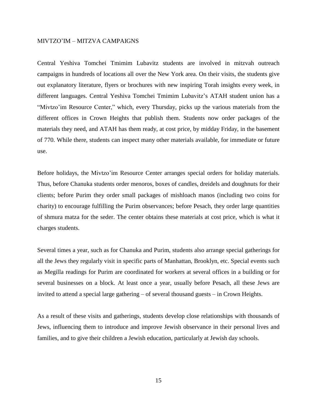#### MIVTZO'IM – MITZVA CAMPAIGNS

Central Yeshiva Tomchei Tmimim Lubavitz students are involved in mitzvah outreach campaigns in hundreds of locations all over the New York area. On their visits, the students give out explanatory literature, flyers or brochures with new inspiring Torah insights every week, in different languages. Central Yeshiva Tomchei Tmimim Lubavitz's ATAH student union has a "Mivtzo'im Resource Center," which, every Thursday, picks up the various materials from the different offices in Crown Heights that publish them. Students now order packages of the materials they need, and ATAH has them ready, at cost price, by midday Friday, in the basement of 770. While there, students can inspect many other materials available, for immediate or future use.

Before holidays, the Mivtzo'im Resource Center arranges special orders for holiday materials. Thus, before Chanuka students order menoros, boxes of candles, dreidels and doughnuts for their clients; before Purim they order small packages of mishloach manos (including two coins for charity) to encourage fulfilling the Purim observances; before Pesach, they order large quantities of shmura matza for the seder. The center obtains these materials at cost price, which is what it charges students.

Several times a year, such as for Chanuka and Purim, students also arrange special gatherings for all the Jews they regularly visit in specific parts of Manhattan, Brooklyn, etc. Special events such as Megilla readings for Purim are coordinated for workers at several offices in a building or for several businesses on a block. At least once a year, usually before Pesach, all these Jews are invited to attend a special large gathering – of several thousand guests – in Crown Heights.

As a result of these visits and gatherings, students develop close relationships with thousands of Jews, influencing them to introduce and improve Jewish observance in their personal lives and families, and to give their children a Jewish education, particularly at Jewish day schools.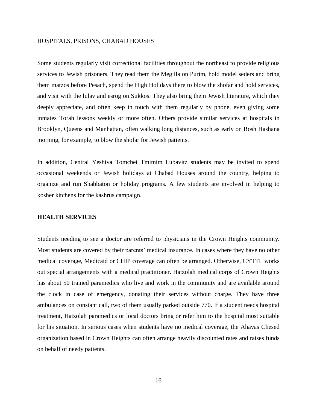#### HOSPITALS, PRISONS, CHABAD HOUSES

Some students regularly visit correctional facilities throughout the northeast to provide religious services to Jewish prisoners. They read them the Megilla on Purim, hold model seders and bring them matzos before Pesach, spend the High Holidays there to blow the shofar and hold services, and visit with the lulav and esrog on Sukkos. They also bring them Jewish literature, which they deeply appreciate, and often keep in touch with them regularly by phone, even giving some inmates Torah lessons weekly or more often. Others provide similar services at hospitals in Brooklyn, Queens and Manhattan, often walking long distances, such as early on Rosh Hashana morning, for example, to blow the shofar for Jewish patients.

In addition, Central Yeshiva Tomchei Tmimim Lubavitz students may be invited to spend occasional weekends or Jewish holidays at Chabad Houses around the country, helping to organize and run Shabbaton or holiday programs. A few students are involved in helping to kosher kitchens for the kashrus campaign.

#### <span id="page-15-0"></span>**HEALTH SERVICES**

Students needing to see a doctor are referred to physicians in the Crown Heights community. Most students are covered by their parents' medical insurance. In cases where they have no other medical coverage, Medicaid or CHIP coverage can often be arranged. Otherwise, CYTTL works out special arrangements with a medical practitioner. Hatzolah medical corps of Crown Heights has about 50 trained paramedics who live and work in the community and are available around the clock in case of emergency, donating their services without charge. They have three ambulances on constant call, two of them usually parked outside 770. If a student needs hospital treatment, Hatzolah paramedics or local doctors bring or refer him to the hospital most suitable for his situation. In serious cases when students have no medical coverage, the Ahavas Chesed organization based in Crown Heights can often arrange heavily discounted rates and raises funds on behalf of needy patients.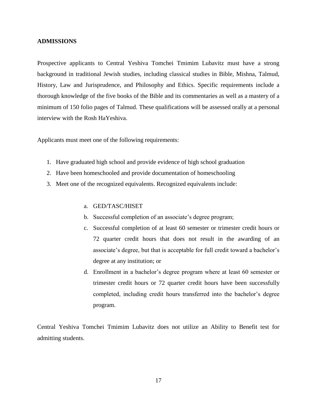#### <span id="page-16-0"></span>**ADMISSIONS**

Prospective applicants to Central Yeshiva Tomchei Tmimim Lubavitz must have a strong background in traditional Jewish studies, including classical studies in Bible, Mishna, Talmud, History, Law and Jurisprudence, and Philosophy and Ethics. Specific requirements include a thorough knowledge of the five books of the Bible and its commentaries as well as a mastery of a minimum of 150 folio pages of Talmud. These qualifications will be assessed orally at a personal interview with the Rosh HaYeshiva.

Applicants must meet one of the following requirements:

- 1. Have graduated high school and provide evidence of high school graduation
- 2. Have been homeschooled and provide documentation of homeschooling
- 3. Meet one of the recognized equivalents. Recognized equivalents include:
	- a. GED/TASC/HISET
	- b. Successful completion of an associate's degree program;
	- c. Successful completion of at least 60 semester or trimester credit hours or 72 quarter credit hours that does not result in the awarding of an associate's degree, but that is acceptable for full credit toward a bachelor's degree at any institution; or
	- d. Enrollment in a bachelor's degree program where at least 60 semester or trimester credit hours or 72 quarter credit hours have been successfully completed, including credit hours transferred into the bachelor's degree program.

Central Yeshiva Tomchei Tmimim Lubavitz does not utilize an Ability to Benefit test for admitting students.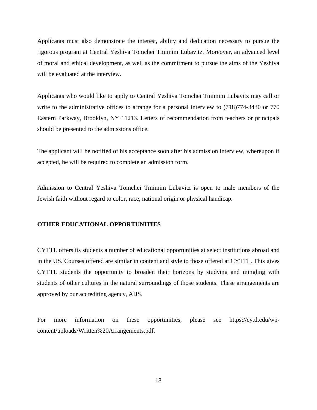Applicants must also demonstrate the interest, ability and dedication necessary to pursue the rigorous program at Central Yeshiva Tomchei Tmimim Lubavitz. Moreover, an advanced level of moral and ethical development, as well as the commitment to pursue the aims of the Yeshiva will be evaluated at the interview.

Applicants who would like to apply to Central Yeshiva Tomchei Tmimim Lubavitz may call or write to the administrative offices to arrange for a personal interview to  $(718)774-3430$  or 770 Eastern Parkway, Brooklyn, NY 11213. Letters of recommendation from teachers or principals should be presented to the admissions office.

The applicant will be notified of his acceptance soon after his admission interview, whereupon if accepted, he will be required to complete an admission form.

Admission to Central Yeshiva Tomchei Tmimim Lubavitz is open to male members of the Jewish faith without regard to color, race, national origin or physical handicap.

#### <span id="page-17-0"></span>**OTHER EDUCATIONAL OPPORTUNITIES**

CYTTL offers its students a number of educational opportunities at select institutions abroad and in the US. Courses offered are similar in content and style to those offered at CYTTL. This gives CYTTL students the opportunity to broaden their horizons by studying and mingling with students of other cultures in the natural surroundings of those students. These arrangements are approved by our accrediting agency, AIJS.

For more information on these opportunities, please see https://cyttl.edu/wpcontent/uploads/Written%20Arrangements.pdf.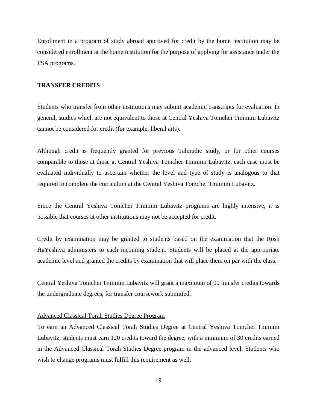Enrollment in a program of study abroad approved for credit by the home institution may be considered enrollment at the home institution for the purpose of applying for assistance under the FSA programs.

# <span id="page-18-0"></span>**TRANSFER CREDITS**

Students who transfer from other institutions may submit academic transcripts for evaluation. In general, studies which are not equivalent to those at Central Yeshiva Tomchei Tmimim Lubavitz cannot be considered for credit (for example, liberal arts).

Although credit is frequently granted for previous Talmudic study, or for other courses comparable to those at those at Central Yeshiva Tomchei Tmimim Lubavitz, each case must be evaluated individually to ascertain whether the level and type of study is analogous to that required to complete the curriculum at the Central Yeshiva Tomchei Tmimim Lubavitz.

Since the Central Yeshiva Tomchei Tmimim Lubavitz programs are highly intensive, it is possible that courses at other institutions may not be accepted for credit.

Credit by examination may be granted to students based on the examination that the Rosh HaYeshiva administers to each incoming student. Students will be placed at the appropriate academic level and granted the credits by examination that will place them on par with the class.

Central Yeshiva Tomchei Tmimim Lubavitz will grant a maximum of 90 transfer credits towards the undergraduate degrees, for transfer coursework submitted.

#### Advanced Classical Torah Studies Degree Program

To earn an Advanced Classical Torah Studies Degree at Central Yeshiva Tomchei Tmimim Lubavitz, students must earn 120 credits toward the degree, with a minimum of 30 credits earned in the Advanced Classical Torah Studies Degree program in the advanced level. Students who wish to change programs must fulfill this requirement as well.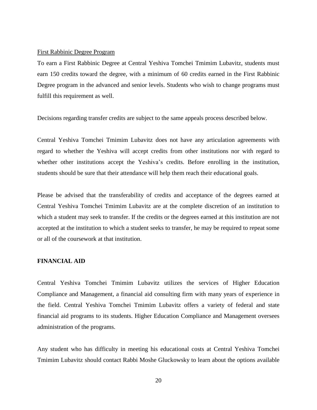#### First Rabbinic Degree Program

To earn a First Rabbinic Degree at Central Yeshiva Tomchei Tmimim Lubavitz, students must earn 150 credits toward the degree, with a minimum of 60 credits earned in the First Rabbinic Degree program in the advanced and senior levels. Students who wish to change programs must fulfill this requirement as well.

Decisions regarding transfer credits are subject to the same appeals process described below.

Central Yeshiva Tomchei Tmimim Lubavitz does not have any articulation agreements with regard to whether the Yeshiva will accept credits from other institutions nor with regard to whether other institutions accept the Yeshiva's credits. Before enrolling in the institution, students should be sure that their attendance will help them reach their educational goals.

Please be advised that the transferability of credits and acceptance of the degrees earned at Central Yeshiva Tomchei Tmimim Lubavitz are at the complete discretion of an institution to which a student may seek to transfer. If the credits or the degrees earned at this institution are not accepted at the institution to which a student seeks to transfer, he may be required to repeat some or all of the coursework at that institution.

#### <span id="page-19-0"></span>**FINANCIAL AID**

Central Yeshiva Tomchei Tmimim Lubavitz utilizes the services of Higher Education Compliance and Management, a financial aid consulting firm with many years of experience in the field. Central Yeshiva Tomchei Tmimim Lubavitz offers a variety of federal and state financial aid programs to its students. Higher Education Compliance and Management oversees administration of the programs.

Any student who has difficulty in meeting his educational costs at Central Yeshiva Tomchei Tmimim Lubavitz should contact Rabbi Moshe Gluckowsky to learn about the options available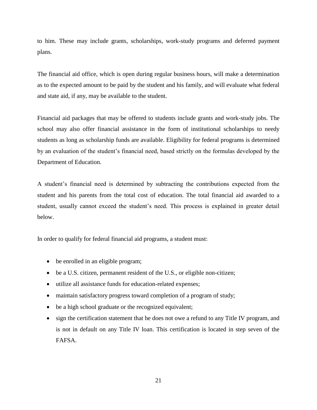to him. These may include grants, scholarships, work-study programs and deferred payment plans.

The financial aid office, which is open during regular business hours, will make a determination as to the expected amount to be paid by the student and his family, and will evaluate what federal and state aid, if any, may be available to the student.

Financial aid packages that may be offered to students include grants and work-study jobs. The school may also offer financial assistance in the form of institutional scholarships to needy students as long as scholarship funds are available. Eligibility for federal programs is determined by an evaluation of the student's financial need, based strictly on the formulas developed by the Department of Education.

A student's financial need is determined by subtracting the contributions expected from the student and his parents from the total cost of education. The total financial aid awarded to a student, usually cannot exceed the student's need. This process is explained in greater detail below.

In order to qualify for federal financial aid programs, a student must:

- be enrolled in an eligible program;
- be a U.S. citizen, permanent resident of the U.S., or eligible non-citizen;
- utilize all assistance funds for education-related expenses;
- maintain satisfactory progress toward completion of a program of study;
- be a high school graduate or the recognized equivalent;
- sign the certification statement that he does not owe a refund to any Title IV program, and is not in default on any Title IV loan. This certification is located in step seven of the FAFSA.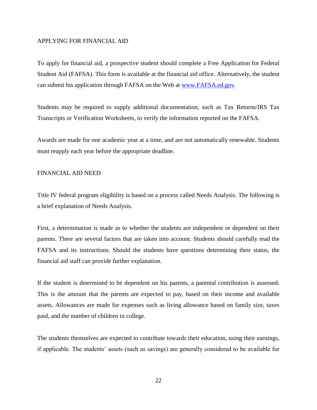#### <span id="page-21-0"></span>APPLYING FOR FINANCIAL AID

To apply for financial aid, a prospective student should complete a Free Application for Federal Student Aid (FAFSA). This form is available at the financial aid office. Alternatively, the student can submit his application through FAFSA on the Web at [www.FAFSA.ed.gov.](www.FAFSA.ed.gov)

Students may be required to supply additional documentation, such as Tax Returns/IRS Tax Transcripts or Verification Worksheets, to verify the information reported on the FAFSA.

Awards are made for one academic year at a time, and are not automatically renewable. Students must reapply each year before the appropriate deadline.

#### <span id="page-21-1"></span>FINANCIAL AID NEED

Title IV federal program eligibility is based on a process called Needs Analysis. The following is a brief explanation of Needs Analysis.

First, a determination is made as to whether the students are independent or dependent on their parents. There are several factors that are taken into account. Students should carefully read the FAFSA and its instructions. Should the students have questions determining their status, the financial aid staff can provide further explanation.

If the student is determined to be dependent on his parents, a parental contribution is assessed. This is the amount that the parents are expected to pay, based on their income and available assets. Allowances are made for expenses such as living allowance based on family size, taxes paid, and the number of children in college.

The students themselves are expected to contribute towards their education, using their earnings, if applicable. The students' assets (such as savings) are generally considered to be available for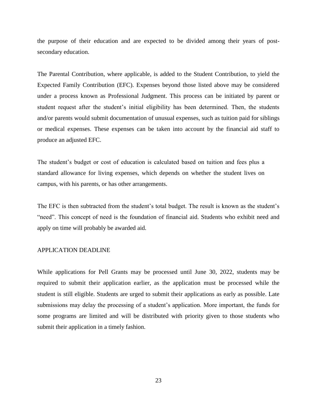the purpose of their education and are expected to be divided among their years of postsecondary education.

The Parental Contribution, where applicable, is added to the Student Contribution, to yield the Expected Family Contribution (EFC). Expenses beyond those listed above may be considered under a process known as Professional Judgment. This process can be initiated by parent or student request after the student's initial eligibility has been determined. Then, the students and/or parents would submit documentation of unusual expenses, such as tuition paid for siblings or medical expenses. These expenses can be taken into account by the financial aid staff to produce an adjusted EFC.

The student's budget or cost of education is calculated based on tuition and fees plus a standard allowance for living expenses, which depends on whether the student lives on campus, with his parents, or has other arrangements.

The EFC is then subtracted from the student's total budget. The result is known as the student's "need". This concept of need is the foundation of financial aid. Students who exhibit need and apply on time will probably be awarded aid.

#### <span id="page-22-0"></span>APPLICATION DEADLINE

While applications for Pell Grants may be processed until June 30, 2022, students may be required to submit their application earlier, as the application must be processed while the student is still eligible. Students are urged to submit their applications as early as possible. Late submissions may delay the processing of a student's application. More important, the funds for some programs are limited and will be distributed with priority given to those students who submit their application in a timely fashion.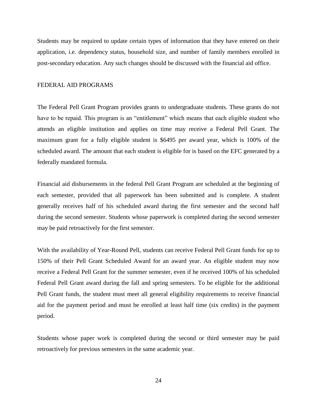Students may be required to update certain types of information that they have entered on their application, i.e. dependency status, household size, and number of family members enrolled in post-secondary education. Any such changes should be discussed with the financial aid office.

#### <span id="page-23-0"></span>FEDERAL AID PROGRAMS

The Federal Pell Grant Program provides grants to undergraduate students. These grants do not have to be repaid. This program is an "entitlement" which means that each eligible student who attends an eligible institution and applies on time may receive a Federal Pell Grant. The maximum grant for a fully eligible student is \$6495 per award year, which is 100% of the scheduled award. The amount that each student is eligible for is based on the EFC generated by a federally mandated formula.

Financial aid disbursements in the federal Pell Grant Program are scheduled at the beginning of each semester, provided that all paperwork has been submitted and is complete. A student generally receives half of his scheduled award during the first semester and the second half during the second semester. Students whose paperwork is completed during the second semester may be paid retroactively for the first semester.

With the availability of Year-Round Pell, students can receive Federal Pell Grant funds for up to 150% of their Pell Grant Scheduled Award for an award year. An eligible student may now receive a Federal Pell Grant for the summer semester, even if he received 100% of his scheduled Federal Pell Grant award during the fall and spring semesters. To be eligible for the additional Pell Grant funds, the student must meet all general eligibility requirements to receive financial aid for the payment period and must be enrolled at least half time (six credits) in the payment period.

Students whose paper work is completed during the second or third semester may be paid retroactively for previous semesters in the same academic year.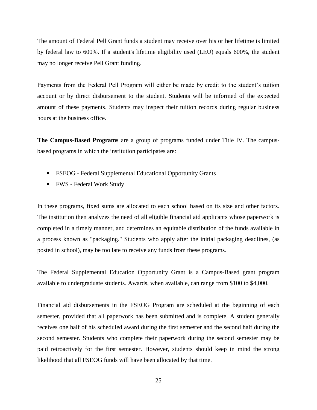The amount of Federal Pell Grant funds a student may receive over his or her lifetime is limited by federal law to 600%. If a student's lifetime eligibility used (LEU) equals 600%, the student may no longer receive Pell Grant funding.

Payments from the Federal Pell Program will either be made by credit to the student's tuition account or by direct disbursement to the student. Students will be informed of the expected amount of these payments. Students may inspect their tuition records during regular business hours at the business office.

**The Campus-Based Programs** are a group of programs funded under Title IV. The campusbased programs in which the institution participates are:

- FSEOG Federal Supplemental Educational Opportunity Grants
- FWS Federal Work Study

In these programs, fixed sums are allocated to each school based on its size and other factors. The institution then analyzes the need of all eligible financial aid applicants whose paperwork is completed in a timely manner, and determines an equitable distribution of the funds available in a process known as "packaging." Students who apply after the initial packaging deadlines, (as posted in school), may be too late to receive any funds from these programs.

The Federal Supplemental Education Opportunity Grant is a Campus-Based grant program available to undergraduate students. Awards, when available, can range from \$100 to \$4,000.

Financial aid disbursements in the FSEOG Program are scheduled at the beginning of each semester, provided that all paperwork has been submitted and is complete. A student generally receives one half of his scheduled award during the first semester and the second half during the second semester. Students who complete their paperwork during the second semester may be paid retroactively for the first semester. However, students should keep in mind the strong likelihood that all FSEOG funds will have been allocated by that time.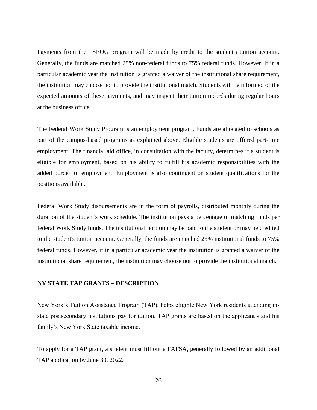Payments from the FSEOG program will be made by credit to the student's tuition account. Generally, the funds are matched 25% non-federal funds to 75% federal funds. However, if in a particular academic year the institution is granted a waiver of the institutional share requirement, the institution may choose not to provide the institutional match. Students will be informed of the expected amounts of these payments, and may inspect their tuition records during regular hours at the business office.

The Federal Work Study Program is an employment program. Funds are allocated to schools as part of the campus-based programs as explained above. Eligible students are offered part-time employment. The financial aid office, in consultation with the faculty, determines if a student is eligible for employment, based on his ability to fulfill his academic responsibilities with the added burden of employment. Employment is also contingent on student qualifications for the positions available.

Federal Work Study disbursements are in the form of payrolls, distributed monthly during the duration of the student's work schedule. The institution pays a percentage of matching funds per federal Work Study funds. The institutional portion may be paid to the student or may be credited to the student's tuition account. Generally, the funds are matched 25% institutional funds to 75% federal funds. However, if in a particular academic year the institution is granted a waiver of the institutional share requirement, the institution may choose not to provide the institutional match.

#### **NY STATE TAP GRANTS – DESCRIPTION**

New York's Tuition Assistance Program (TAP), helps eligible New York residents attending instate postsecondary institutions pay for tuition. TAP grants are based on the applicant's and his family's New York State taxable income.

To apply for a TAP grant, a student must fill out a FAFSA, generally followed by an additional TAP application by June 30, 2022.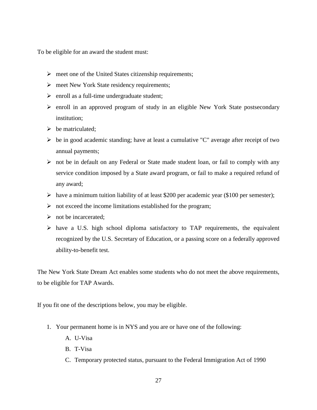To be eligible for an award the student must:

- $\triangleright$  meet one of the United States citizenship requirements;
- $\triangleright$  meet New York State residency requirements;
- $\triangleright$  enroll as a full-time undergraduate student;
- $\triangleright$  enroll in an approved program of study in an eligible New York State postsecondary institution;
- $\triangleright$  be matriculated;
- $\triangleright$  be in good academic standing; have at least a cumulative "C" average after receipt of two annual payments;
- $\triangleright$  not be in default on any Federal or State made student loan, or fail to comply with any service condition imposed by a State award program, or fail to make a required refund of any award;
- $\triangleright$  have a minimum tuition liability of at least \$200 per academic year (\$100 per semester);
- $\triangleright$  not exceed the income limitations established for the program;
- $\triangleright$  not be incarcerated:
- $\triangleright$  have a U.S. high school diploma satisfactory to TAP requirements, the equivalent recognized by the U.S. Secretary of Education, or a passing score on a federally approved ability-to-benefit test.

The New York State Dream Act enables some students who do not meet the above requirements, to be eligible for TAP Awards.

If you fit one of the descriptions below, you may be eligible.

- 1. Your permanent home is in NYS and you are or have one of the following:
	- A. [U-Visa](https://www.hesc.ny.gov/dream/#U-Visa)
	- B. [T-Visa](https://www.hesc.ny.gov/dream/#T-Visa)
	- C. Temporary [protected status,](https://www.hesc.ny.gov/dream/#TPS) pursuant to the Federal Immigration Act of 1990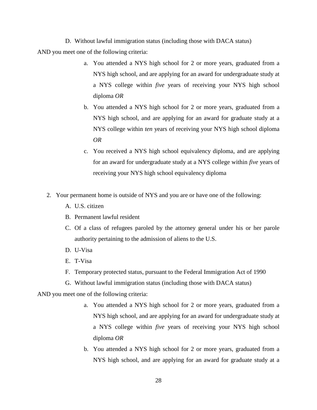D. [Without lawful immigration status](https://www.hesc.ny.gov/dream/#WIS) (including those with DACA status)

AND you meet one of the following criteria:

- a. You attended a NYS high school for 2 or more years, graduated from a NYS high school, and are applying for an award for undergraduate study at a NYS college within *five* years of receiving your NYS high school diploma *OR*
- b. You attended a NYS high school for 2 or more years, graduated from a NYS high school, and are applying for an award for graduate study at a NYS college within *ten* years of receiving your NYS high school diploma *OR*
- c. You received a NYS high school equivalency diploma, and are applying for an award for undergraduate study at a NYS college within *five* years of receiving your NYS high school equivalency diploma
- 2. Your permanent home is outside of NYS and you are or have one of the following:
	- A. U.S. citizen
	- B. Permanent lawful resident
	- C. Of a class of refugees paroled by the attorney general under his or her parole authority pertaining to the admission of aliens to the U.S.
	- D. [U-Visa](https://www.hesc.ny.gov/dream/#U-Visa)
	- E. [T-Visa](https://www.hesc.ny.gov/dream/#T-Visa)
	- F. [Temporary protected status,](https://www.hesc.ny.gov/dream/#TPS) pursuant to the Federal Immigration Act of 1990
	- G. [Without lawful immigration status](https://www.hesc.ny.gov/dream/#WIS) (including those with DACA status)

AND you meet one of the following criteria:

- a. You attended a NYS high school for 2 or more years, graduated from a NYS high school, and are applying for an award for undergraduate study at a NYS college within *five* years of receiving your NYS high school diploma *OR*
- b. You attended a NYS high school for 2 or more years, graduated from a NYS high school, and are applying for an award for graduate study at a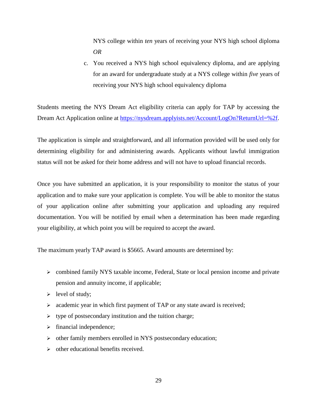NYS college within *ten* years of receiving your NYS high school diploma *OR*

c. You received a NYS high school equivalency diploma, and are applying for an award for undergraduate study at a NYS college within *five* years of receiving your NYS high school equivalency diploma

Students meeting the NYS Dream Act eligibility criteria can apply for TAP by accessing the Dream Act Application online at [https://nysdream.applyists.net/Account/LogOn?ReturnUrl=%2f.](https://nysdream.applyists.net/Account/LogOn?ReturnUrl=%2f)

The application is simple and straightforward, and all information provided will be used only for determining eligibility for and administering awards. Applicants without lawful immigration status will not be asked for their home address and will not have to upload financial records.

Once you have submitted an application, it is your responsibility to monitor the status of your application and to make sure your application is complete. You will be able to monitor the status of your application online after submitting your application and uploading any required documentation. You will be notified by email when a determination has been made regarding your eligibility, at which point you will be required to accept the award.

The maximum yearly TAP award is \$5665. Award amounts are determined by:

- $\triangleright$  combined family NYS taxable income, Federal, State or local pension income and private pension and annuity income, if applicable;
- $\triangleright$  level of study;
- $\triangleright$  academic year in which first payment of TAP or any state award is received;
- $\triangleright$  type of postsecondary institution and the tuition charge;
- $\triangleright$  financial independence;
- other family members enrolled in NYS postsecondary education;
- $\triangleright$  other educational benefits received.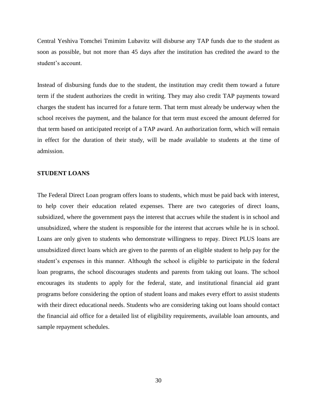Central Yeshiva Tomchei Tmimim Lubavitz will disburse any TAP funds due to the student as soon as possible, but not more than 45 days after the institution has credited the award to the student's account.

Instead of disbursing funds due to the student, the institution may credit them toward a future term if the student authorizes the credit in writing. They may also credit TAP payments toward charges the student has incurred for a future term. That term must already be underway when the school receives the payment, and the balance for that term must exceed the amount deferred for that term based on anticipated receipt of a TAP award. An authorization form, which will remain in effect for the duration of their study, will be made available to students at the time of admission.

#### **STUDENT LOANS**

The Federal Direct Loan program offers loans to students, which must be paid back with interest, to help cover their education related expenses. There are two categories of direct loans, subsidized, where the government pays the interest that accrues while the student is in school and unsubsidized, where the student is responsible for the interest that accrues while he is in school. Loans are only given to students who demonstrate willingness to repay. Direct PLUS loans are unsubsidized direct loans which are given to the parents of an eligible student to help pay for the student's expenses in this manner. Although the school is eligible to participate in the federal loan programs, the school discourages students and parents from taking out loans. The school encourages its students to apply for the federal, state, and institutional financial aid grant programs before considering the option of student loans and makes every effort to assist students with their direct educational needs. Students who are considering taking out loans should contact the financial aid office for a detailed list of eligibility requirements, available loan amounts, and sample repayment schedules.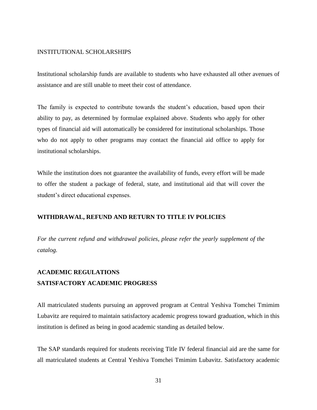## <span id="page-30-0"></span>INSTITUTIONAL SCHOLARSHIPS

Institutional scholarship funds are available to students who have exhausted all other avenues of assistance and are still unable to meet their cost of attendance.

The family is expected to contribute towards the student's education, based upon their ability to pay, as determined by formulae explained above. Students who apply for other types of financial aid will automatically be considered for institutional scholarships. Those who do not apply to other programs may contact the financial aid office to apply for institutional scholarships.

While the institution does not guarantee the availability of funds, every effort will be made to offer the student a package of federal, state, and institutional aid that will cover the student's direct educational expenses.

#### <span id="page-30-1"></span>**WITHDRAWAL, REFUND AND RETURN TO TITLE IV POLICIES**

*For the current refund and withdrawal policies, please refer the yearly supplement of the catalog.*

# <span id="page-30-3"></span><span id="page-30-2"></span>**ACADEMIC REGULATIONS SATISFACTORY ACADEMIC PROGRESS**

All matriculated students pursuing an approved program at Central Yeshiva Tomchei Tmimim Lubavitz are required to maintain satisfactory academic progress toward graduation, which in this institution is defined as being in good academic standing as detailed below.

The SAP standards required for students receiving Title IV federal financial aid are the same for all matriculated students at Central Yeshiva Tomchei Tmimim Lubavitz. Satisfactory academic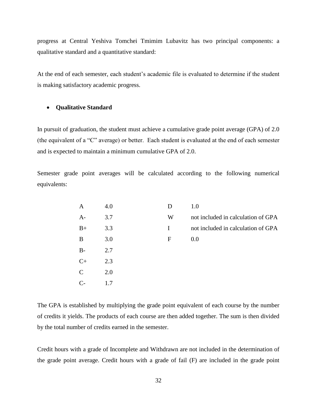progress at Central Yeshiva Tomchei Tmimim Lubavitz has two principal components: a qualitative standard and a quantitative standard:

At the end of each semester, each student's academic file is evaluated to determine if the student is making satisfactory academic progress.

#### **Qualitative Standard**

In pursuit of graduation, the student must achieve a cumulative grade point average (GPA) of 2.0 (the equivalent of a "C" average) or better. Each student is evaluated at the end of each semester and is expected to maintain a minimum cumulative GPA of 2.0.

Semester grade point averages will be calculated according to the following numerical equivalents:

| Α             | 4.0 | D | 1.0                                |
|---------------|-----|---|------------------------------------|
| $A-$          | 3.7 | W | not included in calculation of GPA |
| $B+$          | 3.3 | I | not included in calculation of GPA |
| B             | 3.0 | F | 0.0                                |
| $B -$         | 2.7 |   |                                    |
| $C+$          | 2.3 |   |                                    |
| $\mathcal{C}$ | 2.0 |   |                                    |
|               |     |   |                                    |

The GPA is established by multiplying the grade point equivalent of each course by the number of credits it yields. The products of each course are then added together. The sum is then divided by the total number of credits earned in the semester.

Credit hours with a grade of Incomplete and Withdrawn are not included in the determination of the grade point average. Credit hours with a grade of fail (F) are included in the grade point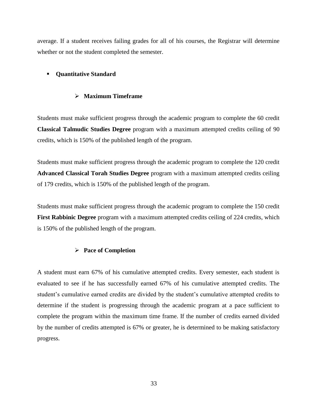average. If a student receives failing grades for all of his courses, the Registrar will determine whether or not the student completed the semester.

# **• Quantitative Standard**

# **Maximum Timeframe**

Students must make sufficient progress through the academic program to complete the 60 credit **Classical Talmudic Studies Degree** program with a maximum attempted credits ceiling of 90 credits, which is 150% of the published length of the program.

Students must make sufficient progress through the academic program to complete the 120 credit **Advanced Classical Torah Studies Degree** program with a maximum attempted credits ceiling of 179 credits, which is 150% of the published length of the program.

Students must make sufficient progress through the academic program to complete the 150 credit **First Rabbinic Degree** program with a maximum attempted credits ceiling of 224 credits, which is 150% of the published length of the program.

# **Pace of Completion**

A student must earn 67% of his cumulative attempted credits. Every semester, each student is evaluated to see if he has successfully earned 67% of his cumulative attempted credits. The student's cumulative earned credits are divided by the student's cumulative attempted credits to determine if the student is progressing through the academic program at a pace sufficient to complete the program within the maximum time frame. If the number of credits earned divided by the number of credits attempted is 67% or greater, he is determined to be making satisfactory progress.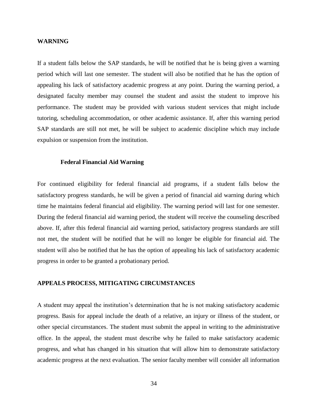#### <span id="page-33-0"></span>**WARNING**

If a student falls below the SAP standards, he will be notified that he is being given a warning period which will last one semester. The student will also be notified that he has the option of appealing his lack of satisfactory academic progress at any point. During the warning period, a designated faculty member may counsel the student and assist the student to improve his performance. The student may be provided with various student services that might include tutoring, scheduling accommodation, or other academic assistance. If, after this warning period SAP standards are still not met, he will be subject to academic discipline which may include expulsion or suspension from the institution.

#### **Federal Financial Aid Warning**

<span id="page-33-1"></span>For continued eligibility for federal financial aid programs, if a student falls below the satisfactory progress standards, he will be given a period of financial aid warning during which time he maintains federal financial aid eligibility. The warning period will last for one semester. During the federal financial aid warning period, the student will receive the counseling described above. If, after this federal financial aid warning period, satisfactory progress standards are still not met, the student will be notified that he will no longer be eligible for financial aid. The student will also be notified that he has the option of appealing his lack of satisfactory academic progress in order to be granted a probationary period.

#### <span id="page-33-2"></span>**APPEALS PROCESS, MITIGATING CIRCUMSTANCES**

A student may appeal the institution's determination that he is not making satisfactory academic progress. Basis for appeal include the death of a relative, an injury or illness of the student, or other special circumstances. The student must submit the appeal in writing to the administrative office. In the appeal, the student must describe why he failed to make satisfactory academic progress, and what has changed in his situation that will allow him to demonstrate satisfactory academic progress at the next evaluation. The senior faculty member will consider all information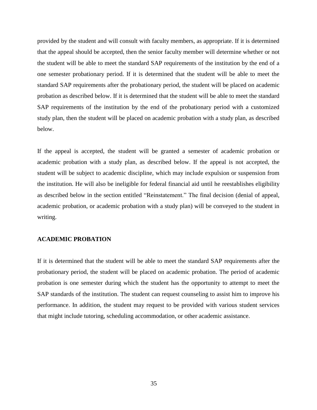provided by the student and will consult with faculty members, as appropriate. If it is determined that the appeal should be accepted, then the senior faculty member will determine whether or not the student will be able to meet the standard SAP requirements of the institution by the end of a one semester probationary period. If it is determined that the student will be able to meet the standard SAP requirements after the probationary period, the student will be placed on academic probation as described below. If it is determined that the student will be able to meet the standard SAP requirements of the institution by the end of the probationary period with a customized study plan, then the student will be placed on academic probation with a study plan, as described below.

If the appeal is accepted, the student will be granted a semester of academic probation or academic probation with a study plan, as described below. If the appeal is not accepted, the student will be subject to academic discipline, which may include expulsion or suspension from the institution. He will also be ineligible for federal financial aid until he reestablishes eligibility as described below in the section entitled "Reinstatement." The final decision (denial of appeal, academic probation, or academic probation with a study plan) will be conveyed to the student in writing.

## **ACADEMIC PROBATION**

If it is determined that the student will be able to meet the standard SAP requirements after the probationary period, the student will be placed on academic probation. The period of academic probation is one semester during which the student has the opportunity to attempt to meet the SAP standards of the institution. The student can request counseling to assist him to improve his performance. In addition, the student may request to be provided with various student services that might include tutoring, scheduling accommodation, or other academic assistance.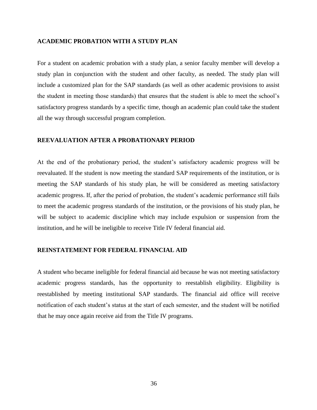#### **ACADEMIC PROBATION WITH A STUDY PLAN**

For a student on academic probation with a study plan, a senior faculty member will develop a study plan in conjunction with the student and other faculty, as needed. The study plan will include a customized plan for the SAP standards (as well as other academic provisions to assist the student in meeting those standards) that ensures that the student is able to meet the school's satisfactory progress standards by a specific time, though an academic plan could take the student all the way through successful program completion.

# **REEVALUATION AFTER A PROBATIONARY PERIOD**

At the end of the probationary period, the student's satisfactory academic progress will be reevaluated. If the student is now meeting the standard SAP requirements of the institution, or is meeting the SAP standards of his study plan, he will be considered as meeting satisfactory academic progress. If, after the period of probation, the student's academic performance still fails to meet the academic progress standards of the institution, or the provisions of his study plan, he will be subject to academic discipline which may include expulsion or suspension from the institution, and he will be ineligible to receive Title IV federal financial aid.

#### <span id="page-35-0"></span>**REINSTATEMENT FOR FEDERAL FINANCIAL AID**

A student who became ineligible for federal financial aid because he was not meeting satisfactory academic progress standards, has the opportunity to reestablish eligibility. Eligibility is reestablished by meeting institutional SAP standards. The financial aid office will receive notification of each student's status at the start of each semester, and the student will be notified that he may once again receive aid from the Title IV programs.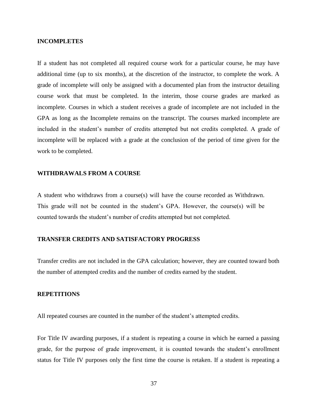#### <span id="page-36-0"></span>**INCOMPLETES**

If a student has not completed all required course work for a particular course, he may have additional time (up to six months), at the discretion of the instructor, to complete the work. A grade of incomplete will only be assigned with a documented plan from the instructor detailing course work that must be completed. In the interim, those course grades are marked as incomplete. Courses in which a student receives a grade of incomplete are not included in the GPA as long as the Incomplete remains on the transcript. The courses marked incomplete are included in the student's number of credits attempted but not credits completed. A grade of incomplete will be replaced with a grade at the conclusion of the period of time given for the work to be completed.

## <span id="page-36-1"></span>**WITHDRAWALS FROM A COURSE**

A student who withdraws from a course(s) will have the course recorded as Withdrawn. This grade will not be counted in the student's GPA. However, the course(s) will be counted towards the student's number of credits attempted but not completed.

#### <span id="page-36-2"></span>**TRANSFER CREDITS AND SATISFACTORY PROGRESS**

Transfer credits are not included in the GPA calculation; however, they are counted toward both the number of attempted credits and the number of credits earned by the student.

#### <span id="page-36-3"></span>**REPETITIONS**

All repeated courses are counted in the number of the student's attempted credits.

For Title IV awarding purposes, if a student is repeating a course in which he earned a passing grade, for the purpose of grade improvement, it is counted towards the student's enrollment status for Title IV purposes only the first time the course is retaken. If a student is repeating a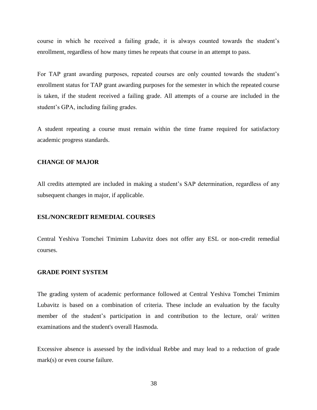course in which he received a failing grade, it is always counted towards the student's enrollment, regardless of how many times he repeats that course in an attempt to pass.

For TAP grant awarding purposes, repeated courses are only counted towards the student's enrollment status for TAP grant awarding purposes for the semester in which the repeated course is taken, if the student received a failing grade. All attempts of a course are included in the student's GPA, including failing grades.

A student repeating a course must remain within the time frame required for satisfactory academic progress standards.

# <span id="page-37-0"></span>**CHANGE OF MAJOR**

All credits attempted are included in making a student's SAP determination, regardless of any subsequent changes in major, if applicable.

#### <span id="page-37-1"></span>**ESL/NONCREDIT REMEDIAL COURSES**

Central Yeshiva Tomchei Tmimim Lubavitz does not offer any ESL or non-credit remedial courses.

## <span id="page-37-2"></span>**GRADE POINT SYSTEM**

The grading system of academic performance followed at Central Yeshiva Tomchei Tmimim Lubavitz is based on a combination of criteria. These include an evaluation by the faculty member of the student's participation in and contribution to the lecture, oral/ written examinations and the student's overall Hasmoda.

Excessive absence is assessed by the individual Rebbe and may lead to a reduction of grade mark(s) or even course failure.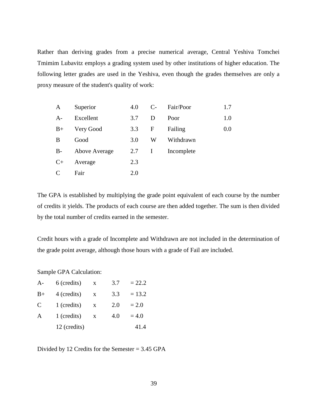Rather than deriving grades from a precise numerical average, Central Yeshiva Tomchei Tmimim Lubavitz employs a grading system used by other institutions of higher education. The following letter grades are used in the Yeshiva, even though the grades themselves are only a proxy measure of the student's quality of work:

| A    | Superior      | 4.0 | $C_{\tau}$  | Fair/Poor  | 1.7 |
|------|---------------|-----|-------------|------------|-----|
| $A-$ | Excellent     | 3.7 | D           | Poor       | 1.0 |
| $B+$ | Very Good     | 3.3 | $\mathbf F$ | Failing    | 0.0 |
| B    | Good          | 3.0 | W           | Withdrawn  |     |
| $B-$ | Above Average | 2.7 | $\bf{I}$    | Incomplete |     |
| $C+$ | Average       | 2.3 |             |            |     |
| C    | Fair          | 2.0 |             |            |     |

The GPA is established by multiplying the grade point equivalent of each course by the number of credits it yields. The products of each course are then added together. The sum is then divided by the total number of credits earned in the semester.

Credit hours with a grade of Incomplete and Withdrawn are not included in the determination of the grade point average, although those hours with a grade of Fail are included.

Sample GPA Calculation:

| $A-$          | 6 (credits)  | X | 3.7 | $= 22.2$ |
|---------------|--------------|---|-----|----------|
| $B+$          | 4 (credits)  | X | 3.3 | $= 13.2$ |
| $\mathcal{C}$ | 1 (credits)  | X | 2.0 | $= 2.0$  |
| A             | 1 (credits)  | X | 4.0 | $= 4.0$  |
|               | 12 (credits) |   |     | 41.4     |

Divided by 12 Credits for the Semester = 3.45 GPA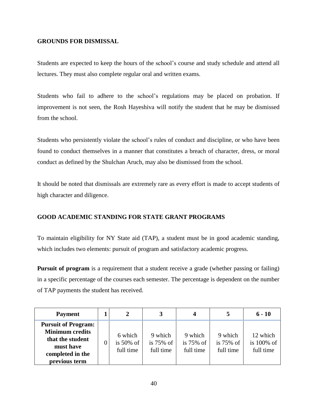# <span id="page-39-0"></span>**GROUNDS FOR DISMISSAL**

Students are expected to keep the hours of the school's course and study schedule and attend all lectures. They must also complete regular oral and written exams.

Students who fail to adhere to the school's regulations may be placed on probation. If improvement is not seen, the Rosh Hayeshiva will notify the student that he may be dismissed from the school.

Students who persistently violate the school's rules of conduct and discipline, or who have been found to conduct themselves in a manner that constitutes a breach of character, dress, or moral conduct as defined by the Shulchan Aruch, may also be dismissed from the school.

It should be noted that dismissals are extremely rare as every effort is made to accept students of high character and diligence.

# <span id="page-39-1"></span>**GOOD ACADEMIC STANDING FOR STATE GRANT PROGRAMS**

To maintain eligibility for NY State aid (TAP), a student must be in good academic standing, which includes two elements: pursuit of program and satisfactory academic progress.

**Pursuit of program** is a requirement that a student receive a grade (whether passing or failing) in a specific percentage of the courses each semester. The percentage is dependent on the number of TAP payments the student has received.

| <b>Payment</b>                                                                                                             | 2                                    | 3                                    | 4                                    |                                      | $6 - 10$                               |
|----------------------------------------------------------------------------------------------------------------------------|--------------------------------------|--------------------------------------|--------------------------------------|--------------------------------------|----------------------------------------|
| <b>Pursuit of Program:</b><br><b>Minimum credits</b><br>that the student<br>must have<br>completed in the<br>previous term | 6 which<br>is $50\%$ of<br>full time | 9 which<br>is $75\%$ of<br>full time | 9 which<br>is $75\%$ of<br>full time | 9 which<br>is $75\%$ of<br>full time | 12 which<br>is $100\%$ of<br>full time |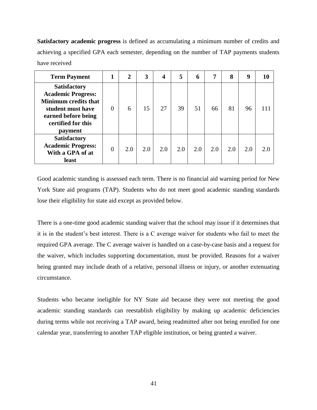**Satisfactory academic progress** is defined as accumulating a minimum number of credits and achieving a specified GPA each semester, depending on the number of TAP payments students have received

| <b>Term Payment</b>                                                                                                                                          | 1        | $\overline{2}$ | 3   | 4   | 5   | 6   | 7   | 8   | 9   |    |
|--------------------------------------------------------------------------------------------------------------------------------------------------------------|----------|----------------|-----|-----|-----|-----|-----|-----|-----|----|
| <b>Satisfactory</b><br><b>Academic Progress:</b><br><b>Minimum credits that</b><br>student must have<br>earned before being<br>certified for this<br>payment | $\theta$ | 6              | 15  | 27  | 39  | 51  | 66  | 81  | 96  |    |
| <b>Satisfactory</b><br><b>Academic Progress:</b><br>With a GPA of at<br>least                                                                                | $\theta$ | 2.0            | 2.0 | 2.0 | 2.0 | 2.0 | 2.0 | 2.0 | 2.0 | 20 |

Good academic standing is assessed each term. There is no financial aid warning period for New York State aid programs (TAP). Students who do not meet good academic standing standards lose their eligibility for state aid except as provided below.

There is a one-time good academic standing waiver that the school may issue if it determines that it is in the student's best interest. There is a C average waiver for students who fail to meet the required GPA average. The C average waiver is handled on a case-by-case basis and a request for the waiver, which includes supporting documentation, must be provided. Reasons for a waiver being granted may include death of a relative, personal illness or injury, or another extenuating circumstance.

Students who became ineligible for NY State aid because they were not meeting the good academic standing standards can reestablish eligibility by making up academic deficiencies during terms while not receiving a TAP award, being readmitted after not being enrolled for one calendar year, transferring to another TAP eligible institution, or being granted a waiver.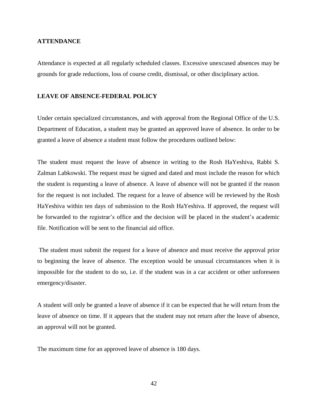#### <span id="page-41-0"></span>**ATTENDANCE**

Attendance is expected at all regularly scheduled classes. Excessive unexcused absences may be grounds for grade reductions, loss of course credit, dismissal, or other disciplinary action.

#### <span id="page-41-1"></span>**LEAVE OF ABSENCE-FEDERAL POLICY**

Under certain specialized circumstances, and with approval from the Regional Office of the U.S. Department of Education, a student may be granted an approved leave of absence. In order to be granted a leave of absence a student must follow the procedures outlined below:

The student must request the leave of absence in writing to the Rosh HaYeshiva, Rabbi S. Zalman Labkowski. The request must be signed and dated and must include the reason for which the student is requesting a leave of absence. A leave of absence will not be granted if the reason for the request is not included. The request for a leave of absence will be reviewed by the Rosh HaYeshiva within ten days of submission to the Rosh HaYeshiva. If approved, the request will be forwarded to the registrar's office and the decision will be placed in the student's academic file. Notification will be sent to the financial aid office.

The student must submit the request for a leave of absence and must receive the approval prior to beginning the leave of absence. The exception would be unusual circumstances when it is impossible for the student to do so, i.e. if the student was in a car accident or other unforeseen emergency/disaster.

A student will only be granted a leave of absence if it can be expected that he will return from the leave of absence on time. If it appears that the student may not return after the leave of absence, an approval will not be granted.

The maximum time for an approved leave of absence is 180 days.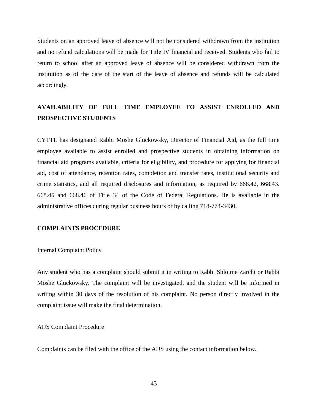Students on an approved leave of absence will not be considered withdrawn from the institution and no refund calculations will be made for Title IV financial aid received. Students who fail to return to school after an approved leave of absence will be considered withdrawn from the institution as of the date of the start of the leave of absence and refunds will be calculated accordingly.

# <span id="page-42-0"></span>**AVAILABILITY OF FULL TIME EMPLOYEE TO ASSIST ENROLLED AND PROSPECTIVE STUDENTS**

CYTTL has designated Rabbi Moshe Gluckowsky, Director of Financial Aid, as the full time employee available to assist enrolled and prospective students in obtaining information on financial aid programs available, criteria for eligibility, and procedure for applying for financial aid, cost of attendance, retention rates, completion and transfer rates, institutional security and crime statistics, and all required disclosures and information, as required by 668.42, 668.43. 668.45 and 668.46 of Title 34 of the Code of Federal Regulations. He is available in the administrative offices during regular business hours or by calling 718-774-3430.

#### **COMPLAINTS PROCEDURE**

#### <span id="page-42-1"></span>Internal Complaint Policy

Any student who has a complaint should submit it in writing to Rabbi Shloime Zarchi or Rabbi Moshe Gluckowsky. The complaint will be investigated, and the student will be informed in writing within 30 days of the resolution of his complaint. No person directly involved in the complaint issue will make the final determination.

#### <span id="page-42-2"></span>AIJS Complaint Procedure

Complaints can be filed with the office of the AIJS using the contact information below.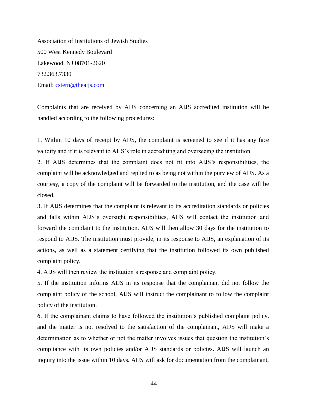Association of Institutions of Jewish Studies 500 West Kennedy Boulevard Lakewood, NJ 08701-2620 732.363.7330 Email: [cstern@theaijs.com](mailto:cstern@theaijs.com)

Complaints that are received by AIJS concerning an AIJS accredited institution will be handled according to the following procedures:

1. Within 10 days of receipt by AIJS, the complaint is screened to see if it has any face validity and if it is relevant to AIJS's role in accrediting and overseeing the institution.

2. If AIJS determines that the complaint does not fit into AIJS's responsibilities, the complaint will be acknowledged and replied to as being not within the purview of AIJS. As a courtesy, a copy of the complaint will be forwarded to the institution, and the case will be closed.

3. If AIJS determines that the complaint is relevant to its accreditation standards or policies and falls within AIJS's oversight responsibilities, AIJS will contact the institution and forward the complaint to the institution. AIJS will then allow 30 days for the institution to respond to AIJS. The institution must provide, in its response to AIJS, an explanation of its actions, as well as a statement certifying that the institution followed its own published complaint policy.

4. AIJS will then review the institution's response and complaint policy.

5. If the institution informs AIJS in its response that the complainant did not follow the complaint policy of the school, AIJS will instruct the complainant to follow the complaint policy of the institution.

6. If the complainant claims to have followed the institution's published complaint policy, and the matter is not resolved to the satisfaction of the complainant, AIJS will make a determination as to whether or not the matter involves issues that question the institution's compliance with its own policies and/or AIJS standards or policies. AIJS will launch an inquiry into the issue within 10 days. AIJS will ask for documentation from the complainant,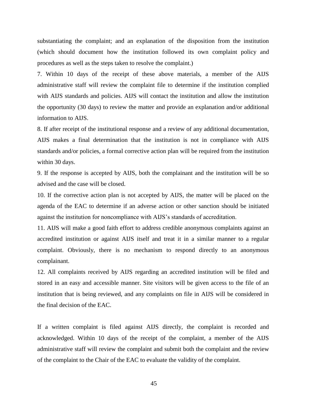substantiating the complaint; and an explanation of the disposition from the institution (which should document how the institution followed its own complaint policy and procedures as well as the steps taken to resolve the complaint.)

7. Within 10 days of the receipt of these above materials, a member of the AIJS administrative staff will review the complaint file to determine if the institution complied with AIJS standards and policies. AIJS will contact the institution and allow the institution the opportunity (30 days) to review the matter and provide an explanation and/or additional information to AIJS.

8. If after receipt of the institutional response and a review of any additional documentation, AIJS makes a final determination that the institution is not in compliance with AIJS standards and/or policies, a formal corrective action plan will be required from the institution within 30 days.

9. If the response is accepted by AIJS, both the complainant and the institution will be so advised and the case will be closed.

10. If the corrective action plan is not accepted by AIJS, the matter will be placed on the agenda of the EAC to determine if an adverse action or other sanction should be initiated against the institution for noncompliance with AIJS's standards of accreditation.

11. AIJS will make a good faith effort to address credible anonymous complaints against an accredited institution or against AIJS itself and treat it in a similar manner to a regular complaint. Obviously, there is no mechanism to respond directly to an anonymous complainant.

12. All complaints received by AIJS regarding an accredited institution will be filed and stored in an easy and accessible manner. Site visitors will be given access to the file of an institution that is being reviewed, and any complaints on file in AIJS will be considered in the final decision of the EAC.

If a written complaint is filed against AIJS directly, the complaint is recorded and acknowledged. Within 10 days of the receipt of the complaint, a member of the AIJS administrative staff will review the complaint and submit both the complaint and the review of the complaint to the Chair of the EAC to evaluate the validity of the complaint.

45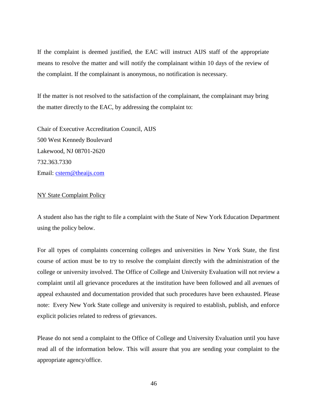If the complaint is deemed justified, the EAC will instruct AIJS staff of the appropriate means to resolve the matter and will notify the complainant within 10 days of the review of the complaint. If the complainant is anonymous, no notification is necessary.

If the matter is not resolved to the satisfaction of the complainant, the complainant may bring the matter directly to the EAC, by addressing the complaint to:

Chair of Executive Accreditation Council, AIJS 500 West Kennedy Boulevard Lakewood, NJ 08701-2620 732.363.7330 Email:<cstern@theaijs.com>

#### <span id="page-45-0"></span>**NY State Complaint Policy**

A student also has the right to file a complaint with the State of New York Education Department using the policy below.

For all types of complaints concerning colleges and universities in New York State, the first course of action must be to try to resolve the complaint directly with the administration of the college or university involved. The Office of College and University Evaluation will not review a complaint until all grievance procedures at the institution have been followed and all avenues of appeal exhausted and documentation provided that such procedures have been exhausted. Please note: Every New York State college and university is required to establish, publish, and enforce explicit policies related to redress of grievances.

Please do not send a complaint to the Office of College and University Evaluation until you have read all of the information below. This will assure that you are sending your complaint to the appropriate agency/office.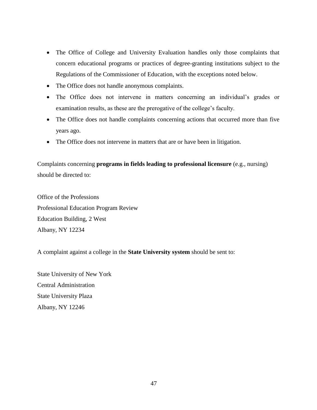- The Office of College and University Evaluation handles only those complaints that concern educational programs or practices of degree-granting institutions subject to the Regulations of the Commissioner of Education, with the exceptions noted below.
- The Office does not handle anonymous complaints.
- The Office does not intervene in matters concerning an individual's grades or examination results, as these are the prerogative of the college's faculty.
- The Office does not handle complaints concerning actions that occurred more than five years ago.
- The Office does not intervene in matters that are or have been in litigation.

Complaints concerning **programs in fields leading to professional licensure** (e.g., nursing) should be directed to:

Office of the Professions Professional Education Program Review Education Building, 2 West Albany, NY 12234

A complaint against a college in the **State University system** should be sent to:

State University of New York Central Administration State University Plaza Albany, NY 12246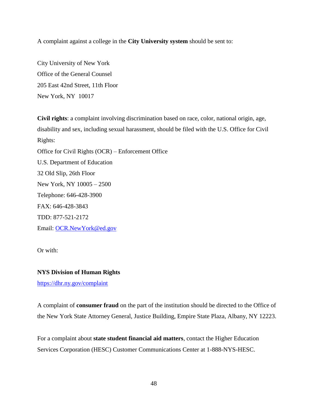A complaint against a college in the **City University system** should be sent to:

City University of New York Office of the General Counsel 205 East 42nd Street, 11th Floor New York, NY 10017

**Civil rights**: a complaint involving discrimination based on race, color, national origin, age, disability and sex, including sexual harassment, should be filed with the U.S. Office for Civil Rights: Office for Civil Rights (OCR) – Enforcement Office U.S. Department of Education 32 Old Slip, 26th Floor New York, NY 10005 – 2500 Telephone: 646-428-3900 FAX: 646-428-3843 TDD: 877-521-2172 Email: [OCR.NewYork@ed.gov](mailto:OCR.NewYork@ed.gov)

Or with:

# **NYS Division of Human Rights**

<https://dhr.ny.gov/complaint>

A complaint of **consumer fraud** on the part of the institution should be directed to the Office of the New York State Attorney General, Justice Building, Empire State Plaza, Albany, NY 12223.

For a complaint about **state student financial aid matters**, contact the Higher Education Services Corporation (HESC) Customer Communications Center at 1-888-NYS-HESC.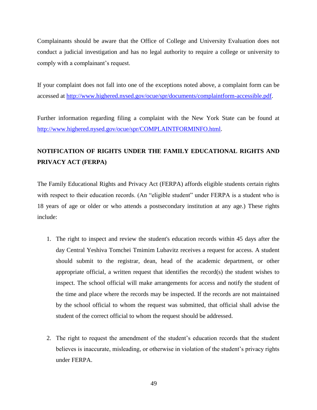Complainants should be aware that the Office of College and University Evaluation does not conduct a judicial investigation and has no legal authority to require a college or university to comply with a complainant's request.

If your complaint does not fall into one of the exceptions noted above, a complaint form can be accessed at [http://www.highered.nysed.gov/ocue/spr/documents/complaintform-accessible.pdf.](http://www.highered.nysed.gov/ocue/spr/documents/complaintform-accessible.pdf)

Further information regarding filing a complaint with the New York State can be found at [http://www.highered.nysed.gov/ocue/spr/COMPLAINTFORMINFO.html.](http://www.highered.nysed.gov/ocue/spr/COMPLAINTFORMINFO.html)

# <span id="page-48-0"></span>**NOTIFICATION OF RIGHTS UNDER THE FAMILY EDUCATIONAL RIGHTS AND PRIVACY ACT (FERPA)**

The Family Educational Rights and Privacy Act (FERPA) affords eligible students certain rights with respect to their education records. (An "eligible student" under FERPA is a student who is 18 years of age or older or who attends a postsecondary institution at any age.) These rights include:

- 1. The right to inspect and review the student's education records within 45 days after the day Central Yeshiva Tomchei Tmimim Lubavitz receives a request for access. A student should submit to the registrar, dean, head of the academic department, or other appropriate official, a written request that identifies the record(s) the student wishes to inspect. The school official will make arrangements for access and notify the student of the time and place where the records may be inspected. If the records are not maintained by the school official to whom the request was submitted, that official shall advise the student of the correct official to whom the request should be addressed.
- 2. The right to request the amendment of the student's education records that the student believes is inaccurate, misleading, or otherwise in violation of the student's privacy rights under FERPA.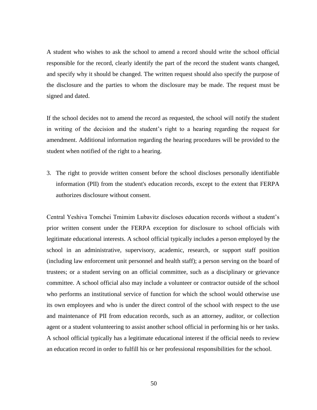A student who wishes to ask the school to amend a record should write the school official responsible for the record, clearly identify the part of the record the student wants changed, and specify why it should be changed. The written request should also specify the purpose of the disclosure and the parties to whom the disclosure may be made. The request must be signed and dated.

If the school decides not to amend the record as requested, the school will notify the student in writing of the decision and the student's right to a hearing regarding the request for amendment. Additional information regarding the hearing procedures will be provided to the student when notified of the right to a hearing.

3. The right to provide written consent before the school discloses personally identifiable information (PII) from the student's education records, except to the extent that FERPA authorizes disclosure without consent.

Central Yeshiva Tomchei Tmimim Lubavitz discloses education records without a student's prior written consent under the FERPA exception for disclosure to school officials with legitimate educational interests. A school official typically includes a person employed by the school in an administrative, supervisory, academic, research, or support staff position (including law enforcement unit personnel and health staff); a person serving on the board of trustees; or a student serving on an official committee, such as a disciplinary or grievance committee. A school official also may include a volunteer or contractor outside of the school who performs an institutional service of function for which the school would otherwise use its own employees and who is under the direct control of the school with respect to the use and maintenance of PII from education records, such as an attorney, auditor, or collection agent or a student volunteering to assist another school official in performing his or her tasks. A school official typically has a legitimate educational interest if the official needs to review an education record in order to fulfill his or her professional responsibilities for the school.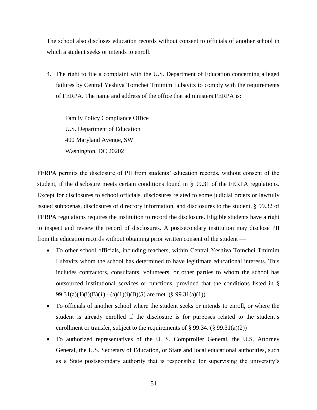The school also discloses education records without consent to officials of another school in which a student seeks or intends to enroll.

4. The right to file a complaint with the U.S. Department of Education concerning alleged failures by Central Yeshiva Tomchei Tmimim Lubavitz to comply with the requirements of FERPA. The name and address of the office that administers FERPA is:

Family Policy Compliance Office U.S. Department of Education 400 Maryland Avenue, SW Washington, DC 20202

FERPA permits the disclosure of PII from students' education records, without consent of the student, if the disclosure meets certain conditions found in § 99.31 of the FERPA regulations. Except for disclosures to school officials, disclosures related to some judicial orders or lawfully issued subpoenas, disclosures of directory information, and disclosures to the student, § 99.32 of FERPA regulations requires the institution to record the disclosure. Eligible students have a right to inspect and review the record of disclosures. A postsecondary institution may disclose PII from the education records without obtaining prior written consent of the student —

- To other school officials, including teachers, within Central Yeshiva Tomchei Tmimim Lubavitz whom the school has determined to have legitimate educational interests. This includes contractors, consultants, volunteers, or other parties to whom the school has outsourced institutional services or functions, provided that the conditions listed in § 99.31(a)(1)(i)(B)(*1*) - (a)(1)(i)(B)(*3*) are met. (§ 99.31(a)(1))
- To officials of another school where the student seeks or intends to enroll, or where the student is already enrolled if the disclosure is for purposes related to the student's enrollment or transfer, subject to the requirements of  $\S 99.34$ . ( $\S 99.31(a)(2)$ )
- To authorized representatives of the U. S. Comptroller General, the U.S. Attorney General, the U.S. Secretary of Education, or State and local educational authorities, such as a State postsecondary authority that is responsible for supervising the university's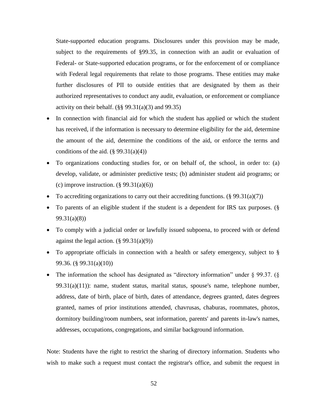State-supported education programs. Disclosures under this provision may be made, subject to the requirements of §99.35, in connection with an audit or evaluation of Federal- or State-supported education programs, or for the enforcement of or compliance with Federal legal requirements that relate to those programs. These entities may make further disclosures of PII to outside entities that are designated by them as their authorized representatives to conduct any audit, evaluation, or enforcement or compliance activity on their behalf.  $(\S$ § 99.31(a)(3) and 99.35)

- In connection with financial aid for which the student has applied or which the student has received, if the information is necessary to determine eligibility for the aid, determine the amount of the aid, determine the conditions of the aid, or enforce the terms and conditions of the aid.  $(\S$  99.31(a)(4))
- To organizations conducting studies for, or on behalf of, the school, in order to: (a) develop, validate, or administer predictive tests; (b) administer student aid programs; or (c) improve instruction.  $(\S 99.31(a)(6))$
- To accrediting organizations to carry out their accrediting functions.  $(\S 99.31(a)(7))$
- To parents of an eligible student if the student is a dependent for IRS tax purposes. (§ 99.31(a)(8))
- To comply with a judicial order or lawfully issued subpoena, to proceed with or defend against the legal action.  $(\S 99.31(a)(9))$
- To appropriate officials in connection with a health or safety emergency, subject to § 99.36. (§ 99.31(a)(10))
- The information the school has designated as "directory information" under  $\S$  99.37. ( $\S$ 99.31(a)(11)): name, student status, marital status, spouse's name, telephone number, address, date of birth, place of birth, dates of attendance, degrees granted, dates degrees granted, names of prior institutions attended, chavrusas, chaburas, roommates, photos, dormitory building/room numbers, seat information, parents' and parents in-law's names, addresses, occupations, congregations, and similar background information.

Note: Students have the right to restrict the sharing of directory information. Students who wish to make such a request must contact the registrar's office, and submit the request in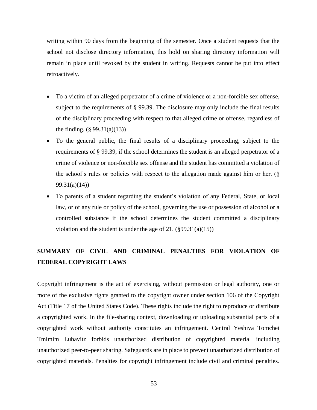writing within 90 days from the beginning of the semester. Once a student requests that the school not disclose directory information, this hold on sharing directory information will remain in place until revoked by the student in writing. Requests cannot be put into effect retroactively.

- To a victim of an alleged perpetrator of a crime of violence or a non-forcible sex offense, subject to the requirements of § 99.39. The disclosure may only include the final results of the disciplinary proceeding with respect to that alleged crime or offense, regardless of the finding.  $(\S 99.31(a)(13))$
- To the general public, the final results of a disciplinary proceeding, subject to the requirements of § 99.39, if the school determines the student is an alleged perpetrator of a crime of violence or non-forcible sex offense and the student has committed a violation of the school's rules or policies with respect to the allegation made against him or her. (§ 99.31(a)(14))
- To parents of a student regarding the student's violation of any Federal, State, or local law, or of any rule or policy of the school, governing the use or possession of alcohol or a controlled substance if the school determines the student committed a disciplinary violation and the student is under the age of 21.  $(\frac{6}{9}9.31(a)(15))$

# <span id="page-52-0"></span>**SUMMARY OF CIVIL AND CRIMINAL PENALTIES FOR VIOLATION OF FEDERAL COPYRIGHT LAWS**

Copyright infringement is the act of exercising, without permission or legal authority, one or more of the exclusive rights granted to the copyright owner under section 106 of the Copyright Act (Title 17 of the United States Code). These rights include the right to reproduce or distribute a copyrighted work. In the file-sharing context, downloading or uploading substantial parts of a copyrighted work without authority constitutes an infringement. Central Yeshiva Tomchei Tmimim Lubavitz forbids unauthorized distribution of copyrighted material including unauthorized peer-to-peer sharing. Safeguards are in place to prevent unauthorized distribution of copyrighted materials. Penalties for copyright infringement include civil and criminal penalties.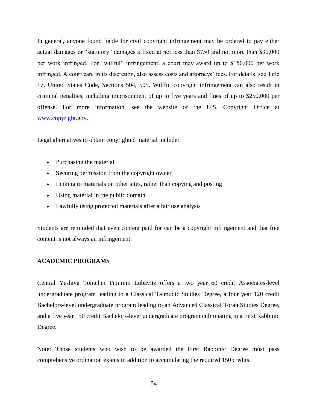In general, anyone found liable for civil copyright infringement may be ordered to pay either actual damages or "statutory" damages affixed at not less than \$750 and not more than \$30,000 per work infringed. For "willful" infringement, a court may award up to \$150,000 per work infringed. A court can, in its discretion, also assess costs and attorneys' fees. For details, see Title 17, United States Code, Sections 504, 505. Willful copyright infringement can also result in criminal penalties, including imprisonment of up to five years and fines of up to \$250,000 per offense. For more information, see the website of the U.S. Copyright Office at [www.copyright.gov.](www.copyright.gov)

Legal alternatives to obtain copyrighted material include:

- Purchasing the material
- Securing permission from the copyright owner
- Linking to materials on other sites, rather than copying and posting
- Using material in the public domain
- Lawfully using protected materials after a fair use analysis

Students are reminded that even content paid for can be a copyright infringement and that free content is not always an infringement.

#### <span id="page-53-0"></span>**ACADEMIC PROGRAMS**

Central Yeshiva Tomchei Tmimim Lubavitz offers a two year 60 credit Associates-level undergraduate program leading to a Classical Talmudic Studies Degree, a four year 120 credit Bachelors-level undergraduate program leading to an Advanced Classical Torah Studies Degree, and a five year 150 credit Bachelors-level undergraduate program culminating in a First Rabbinic Degree.

Note: Those students who wish to be awarded the First Rabbinic Degree must pass comprehensive ordination exams in addition to accumulating the required 150 credits.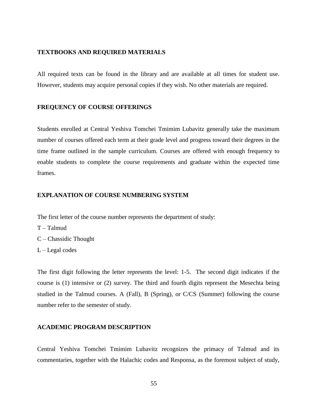#### <span id="page-54-0"></span>**TEXTBOOKS AND REQUIRED MATERIALS**

All required texts can be found in the library and are available at all times for student use. However, students may acquire personal copies if they wish. No other materials are required.

#### <span id="page-54-1"></span>**FREQUENCY OF COURSE OFFERINGS**

Students enrolled at Central Yeshiva Tomchei Tmimim Lubavitz generally take the maximum number of courses offered each term at their grade level and progress toward their degrees in the time frame outlined in the sample curriculum. Courses are offered with enough frequency to enable students to complete the course requirements and graduate within the expected time frames.

#### <span id="page-54-2"></span>**EXPLANATION OF COURSE NUMBERING SYSTEM**

The first letter of the course number represents the department of study:

- T Talmud
- C Chassidic Thought
- $L -$ Legal codes

The first digit following the letter represents the level: 1-5. The second digit indicates if the course is (1) intensive or (2) survey. The third and fourth digits represent the Mesechta being studied in the Talmud courses. A (Fall), B (Spring), or C/CS (Summer) following the course number refer to the semester of study.

# <span id="page-54-3"></span>**ACADEMIC PROGRAM DESCRIPTION**

Central Yeshiva Tomchei Tmimim Lubavitz recognizes the primacy of Talmud and its commentaries, together with the Halachic codes and Responsa, as the foremost subject of study,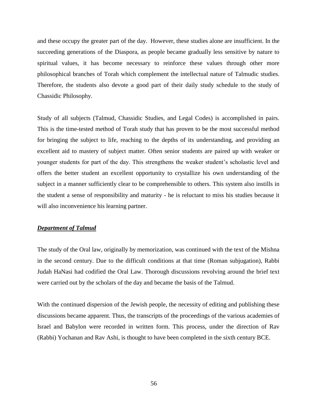and these occupy the greater part of the day. However, these studies alone are insufficient. In the succeeding generations of the Diaspora, as people became gradually less sensitive by nature to spiritual values, it has become necessary to reinforce these values through other more philosophical branches of Torah which complement the intellectual nature of Talmudic studies. Therefore, the students also devote a good part of their daily study schedule to the study of Chassidic Philosophy.

Study of all subjects (Talmud, Chassidic Studies, and Legal Codes) is accomplished in pairs. This is the time-tested method of Torah study that has proven to be the most successful method for bringing the subject to life, reaching to the depths of its understanding, and providing an excellent aid to mastery of subject matter. Often senior students are paired up with weaker or younger students for part of the day. This strengthens the weaker student's scholastic level and offers the better student an excellent opportunity to crystallize his own understanding of the subject in a manner sufficiently clear to be comprehensible to others. This system also instills in the student a sense of responsibility and maturity - he is reluctant to miss his studies because it will also inconvenience his learning partner.

#### <span id="page-55-0"></span>*Department of Talmud*

The study of the Oral law, originally by memorization, was continued with the text of the Mishna in the second century. Due to the difficult conditions at that time (Roman subjugation), Rabbi Judah HaNasi had codified the Oral Law. Thorough discussions revolving around the brief text were carried out by the scholars of the day and became the basis of the Talmud.

With the continued dispersion of the Jewish people, the necessity of editing and publishing these discussions became apparent. Thus, the transcripts of the proceedings of the various academies of Israel and Babylon were recorded in written form. This process, under the direction of Rav (Rabbi) Yochanan and Rav Ashi, is thought to have been completed in the sixth century BCE.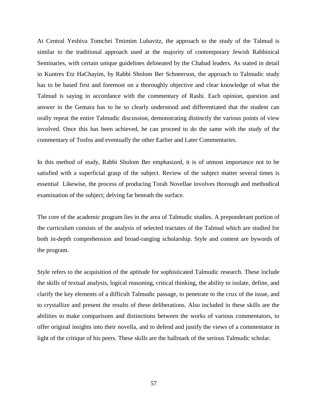At Central Yeshiva Tomchei Tmimim Lubavitz, the approach to the study of the Talmud is similar to the traditional approach used at the majority of contemporary Jewish Rabbinical Seminaries, with certain unique guidelines delineated by the Chabad leaders. As stated in detail in Kuntres Etz HaChayim, by Rabbi Sholom Ber Schneerson, the approach to Talmudic study has to be based first and foremost on a thoroughly objective and clear knowledge of what the Talmud is saying in accordance with the commentary of Rashi. Each opinion, question and answer in the Gemara has to be so clearly understood and differentiated that the student can orally repeat the entire Talmudic discussion, demonstrating distinctly the various points of view involved. Once this has been achieved, he can proceed to do the same with the study of the commentary of Tosfos and eventually the other Earlier and Later Commentaries.

In this method of study, Rabbi Sholom Ber emphasized, it is of utmost importance not to be satisfied with a superficial grasp of the subject. Review of the subject matter several times is essential Likewise, the process of producing Torah Novellae involves thorough and methodical examination of the subject; delving far beneath the surface.

The core of the academic program lies in the area of Talmudic studies. A preponderant portion of the curriculum consists of the analysis of selected tractates of the Talmud which are studied for both in-depth comprehension and broad-ranging scholarship. Style and content are bywords of the program.

Style refers to the acquisition of the aptitude for sophisticated Talmudic research. These include the skills of textual analysis, logical reasoning, critical thinking, the ability to isolate, define, and clarify the key elements of a difficult Talmudic passage, to penetrate to the crux of the issue, and to crystallize and present the results of these deliberations. Also included in these skills are the abilities to make comparisons and distinctions between the works of various commentators, to offer original insights into their novella, and to defend and justify the views of a commentator in light of the critique of his peers. These skills are the hallmark of the serious Talmudic scholar.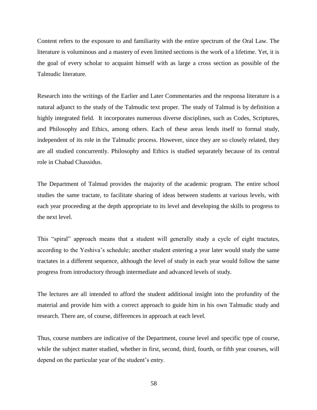Content refers to the exposure to and familiarity with the entire spectrum of the Oral Law. The literature is voluminous and a mastery of even limited sections is the work of a lifetime. Yet, it is the goal of every scholar to acquaint himself with as large a cross section as possible of the Talmudic literature.

Research into the writings of the Earlier and Later Commentaries and the responsa literature is a natural adjunct to the study of the Talmudic text proper. The study of Talmud is by definition a highly integrated field. It incorporates numerous diverse disciplines, such as Codes, Scriptures, and Philosophy and Ethics, among others. Each of these areas lends itself to formal study, independent of its role in the Talmudic process. However, since they are so closely related, they are all studied concurrently. Philosophy and Ethics is studied separately because of its central role in Chabad Chassidus.

The Department of Talmud provides the majority of the academic program. The entire school studies the same tractate, to facilitate sharing of ideas between students at various levels, with each year proceeding at the depth appropriate to its level and developing the skills to progress to the next level.

This "spiral" approach means that a student will generally study a cycle of eight tractates, according to the Yeshiva's schedule; another student entering a year later would study the same tractates in a different sequence, although the level of study in each year would follow the same progress from introductory through intermediate and advanced levels of study.

The lectures are all intended to afford the student additional insight into the profundity of the material and provide him with a correct approach to guide him in his own Talmudic study and research. There are, of course, differences in approach at each level.

Thus, course numbers are indicative of the Department, course level and specific type of course, while the subject matter studied, whether in first, second, third, fourth, or fifth year courses, will depend on the particular year of the student's entry.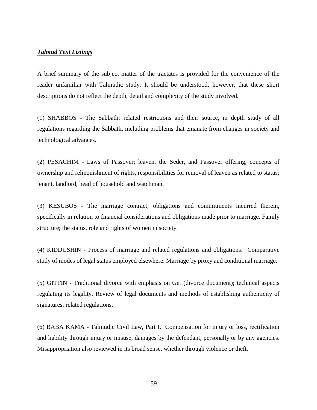#### *Talmud Text Listings*

A brief summary of the subject matter of the tractates is provided for the convenience of the reader unfamiliar with Talmudic study. It should be understood, however, that these short descriptions do not reflect the depth, detail and complexity of the study involved.

(1) SHABBOS - The Sabbath; related restrictions and their source, in depth study of all regulations regarding the Sabbath, including problems that emanate from changes in society and technological advances.

(2) PESACHIM - Laws of Passover; leaven, the Seder, and Passover offering, concepts of ownership and relinquishment of rights, responsibilities for removal of leaven as related to status; tenant, landlord, head of household and watchman.

(3) KESUBOS - The marriage contract; obligations and commitments incurred therein, specifically in relation to financial considerations and obligations made prior to marriage. Family structure; the status, role and rights of women in society.

(4) KIDDUSHIN - Process of marriage and related regulations and obligations. Comparative study of modes of legal status employed elsewhere. Marriage by proxy and conditional marriage.

(5) GITTIN - Traditional divorce with emphasis on Get (divorce document); technical aspects regulating its legality. Review of legal documents and methods of establishing authenticity of signatures; related regulations.

(6) BABA KAMA - Talmudic Civil Law, Part I. Compensation for injury or loss, rectification and liability through injury or misuse, damages by the defendant, personally or by any agencies. Misappropriation also reviewed in its broad sense, whether through violence or theft.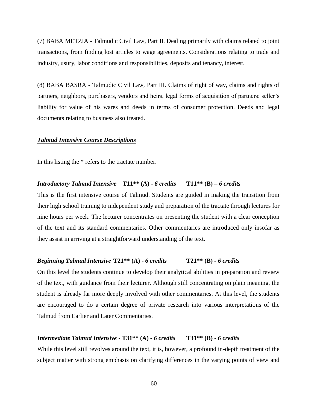(7) BABA METZIA - Talmudic Civil Law, Part II. Dealing primarily with claims related to joint transactions, from finding lost articles to wage agreements. Considerations relating to trade and industry, usury, labor conditions and responsibilities, deposits and tenancy, interest.

(8) BABA BASRA - Talmudic Civil Law, Part III. Claims of right of way, claims and rights of partners, neighbors, purchasers, vendors and heirs, legal forms of acquisition of partners; seller's liability for value of his wares and deeds in terms of consumer protection. Deeds and legal documents relating to business also treated.

#### *Talmud Intensive Course Descriptions*

In this listing the \* refers to the tractate number.

#### *Introductory Talmud Intensive* – **T11\*\* (A) -** *6 credits* **T11\*\* (B) –** *6 credits*

This is the first intensive course of Talmud. Students are guided in making the transition from their high school training to independent study and preparation of the tractate through lectures for nine hours per week. The lecturer concentrates on presenting the student with a clear conception of the text and its standard commentaries. Other commentaries are introduced only insofar as they assist in arriving at a straightforward understanding of the text.

#### *Beginning Talmud Intensive* **T21\*\* (A)** - *6 credits* **T21\*\* (B)** *- 6 credits*

On this level the students continue to develop their analytical abilities in preparation and review of the text, with guidance from their lecturer. Although still concentrating on plain meaning, the student is already far more deeply involved with other commentaries. At this level, the students are encouraged to do a certain degree of private research into various interpretations of the Talmud from Earlier and Later Commentaries.

#### *Intermediate Talmud Intensive* - **T31\*\* (A)** *- 6 credits* **T31\*\* (B)** - *6 credits*

While this level still revolves around the text, it is, however, a profound in-depth treatment of the subject matter with strong emphasis on clarifying differences in the varying points of view and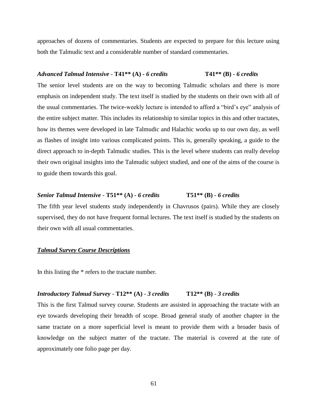approaches of dozens of commentaries. Students are expected to prepare for this lecture using both the Talmudic text and a considerable number of standard commentaries.

#### *Advanced Talmud Intensive* - **T41\*\* (A)** *- 6 credits* **T41\*\* (B)** *- 6 credits*

The senior level students are on the way to becoming Talmudic scholars and there is more emphasis on independent study. The text itself is studied by the students on their own with all of the usual commentaries. The twice-weekly lecture is intended to afford a "bird's eye" analysis of the entire subject matter. This includes its relationship to similar topics in this and other tractates, how its themes were developed in late Talmudic and Halachic works up to our own day, as well as flashes of insight into various complicated points. This is, generally speaking, a guide to the direct approach to in-depth Talmudic studies. This is the level where students can really develop their own original insights into the Talmudic subject studied, and one of the aims of the course is to guide them towards this goal.

# *Senior Talmud Intensive* - **T51\*\* (A)** *- 6 credits* **T51\*\* (B)** *- 6 credits*

The fifth year level students study independently in Chavrusos (pairs). While they are closely supervised, they do not have frequent formal lectures. The text itself is studied by the students on their own with all usual commentaries.

#### *Talmud Survey Course Descriptions*

In this listing the \* refers to the tractate number.

#### *Introductory Talmud Survey* - **T12\*\* (A)** - *3 credits* **T12\*\* (B)** - *3 credits*

This is the first Talmud survey course. Students are assisted in approaching the tractate with an eye towards developing their breadth of scope. Broad general study of another chapter in the same tractate on a more superficial level is meant to provide them with a broader basis of knowledge on the subject matter of the tractate. The material is covered at the rate of approximately one folio page per day.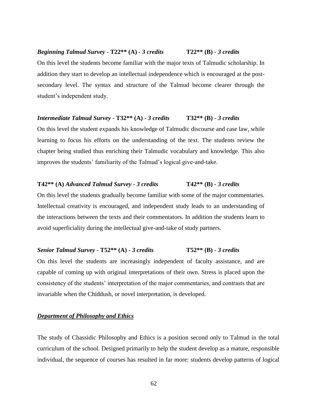# chapter being studied thus enriching their Talmudic vocabulary and knowledge. This also

student's independent study.

# **T42\*\* (A)** *Advanced Talmud Survey - 3 credits* **T42\*\* (B)** *- 3 credits*

improves the students' familiarity of the Talmud's logical give-and-take.

*Intermediate Talmud Survey* - **T32\*\* (A) -** *3 credits* **T32\*\* (B)** - *3 credits*

On this level the students gradually become familiar with some of the major commentaries. Intellectual creativity is encouraged, and independent study leads to an understanding of the interactions between the texts and their commentators. In addition the students learn to avoid superficiality during the intellectual give-and-take of study partners.

On this level the students become familiar with the major texts of Talmudic scholarship. In

addition they start to develop an intellectual independence which is encouraged at the post-

secondary level. The syntax and structure of the Talmud become clearer through the

On this level the student expands his knowledge of Talmudic discourse and case law, while

learning to focus his efforts on the understanding of the text. The students review the

# *Senior Talmud Survey* - **T52\*\* (A)** - *3 credits* **T52\*\* (B)** - *3 credits*

On this level the students are increasingly independent of faculty assistance, and are capable of coming up with original interpretations of their own. Stress is placed upon the consistency of the students' interpretation of the major commentaries, and contrasts that are invariable when the Chiddush, or novel interpretation, is developed.

# <span id="page-61-0"></span>*Department of Philosophy and Ethics*

The study of Chassidic Philosophy and Ethics is a position second only to Talmud in the total curriculum of the school. Designed primarily to help the student develop as a mature, responsible individual, the sequence of courses has resulted in far more: students develop patterns of logical

#### *Beginning Talmud Survey* - **T22\*\* (A)** *- 3 credits* **T22\*\* (B) -** *3 credits*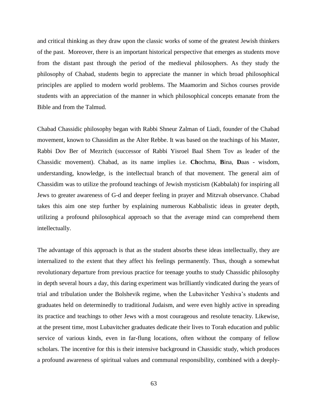and critical thinking as they draw upon the classic works of some of the greatest Jewish thinkers of the past. Moreover, there is an important historical perspective that emerges as students move from the distant past through the period of the medieval philosophers. As they study the philosophy of Chabad, students begin to appreciate the manner in which broad philosophical principles are applied to modern world problems. The Maamorim and Sichos courses provide students with an appreciation of the manner in which philosophical concepts emanate from the Bible and from the Talmud.

Chabad Chassidic philosophy began with Rabbi Shneur Zalman of Liadi, founder of the Chabad movement, known to Chassidim as the Alter Rebbe. It was based on the teachings of his Master, Rabbi Dov Ber of Mezritch (successor of Rabbi Yisroel Baal Shem Tov as leader of the Chassidic movement). Chabad, as its name implies i.e. **Ch**ochma, **B**ina, **D**aas - wisdom, understanding, knowledge, is the intellectual branch of that movement. The general aim of Chassidim was to utilize the profound teachings of Jewish mysticism (Kabbalah) for inspiring all Jews to greater awareness of G-d and deeper feeling in prayer and Mitzvah observance. Chabad takes this aim one step further by explaining numerous Kabbalistic ideas in greater depth, utilizing a profound philosophical approach so that the average mind can comprehend them intellectually.

The advantage of this approach is that as the student absorbs these ideas intellectually, they are internalized to the extent that they affect his feelings permanently. Thus, though a somewhat revolutionary departure from previous practice for teenage youths to study Chassidic philosophy in depth several hours a day, this daring experiment was brilliantly vindicated during the years of trial and tribulation under the Bolshevik regime, when the Lubavitcher Yeshiva's students and graduates held on determinedly to traditional Judaism, and were even highly active in spreading its practice and teachings to other Jews with a most courageous and resolute tenacity. Likewise, at the present time, most Lubavitcher graduates dedicate their lives to Torah education and public service of various kinds, even in far-flung locations, often without the company of fellow scholars. The incentive for this is their intensive background in Chassidic study, which produces a profound awareness of spiritual values and communal responsibility, combined with a deeply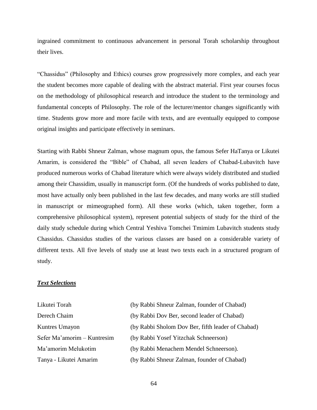ingrained commitment to continuous advancement in personal Torah scholarship throughout their lives.

"Chassidus" (Philosophy and Ethics) courses grow progressively more complex, and each year the student becomes more capable of dealing with the abstract material. First year courses focus on the methodology of philosophical research and introduce the student to the terminology and fundamental concepts of Philosophy. The role of the lecturer/mentor changes significantly with time. Students grow more and more facile with texts, and are eventually equipped to compose original insights and participate effectively in seminars.

Starting with Rabbi Shneur Zalman, whose magnum opus, the famous Sefer HaTanya or Likutei Amarim, is considered the "Bible" of Chabad, all seven leaders of Chabad-Lubavitch have produced numerous works of Chabad literature which were always widely distributed and studied among their Chassidim, usually in manuscript form. (Of the hundreds of works published to date, most have actually only been published in the last few decades, and many works are still studied in manuscript or mimeographed form). All these works (which, taken together, form a comprehensive philosophical system), represent potential subjects of study for the third of the daily study schedule during which Central Yeshiva Tomchei Tmimim Lubavitch students study Chassidus. Chassidus studies of the various classes are based on a considerable variety of different texts. All five levels of study use at least two texts each in a structured program of study.

#### *Text Selections*

| Likutei Torah               | (by Rabbi Shneur Zalman, founder of Chabad)       |
|-----------------------------|---------------------------------------------------|
| Derech Chaim                | (by Rabbi Dov Ber, second leader of Chabad)       |
| Kuntres Umayon              | (by Rabbi Sholom Dov Ber, fifth leader of Chabad) |
| Sefer Ma'amorim - Kuntresim | (by Rabbi Yosef Yitzchak Schneerson)              |
| Ma'amorim Melukotim         | (by Rabbi Menachem Mendel Schneerson).            |
| Tanya - Likutei Amarim      | (by Rabbi Shneur Zalman, founder of Chabad)       |

64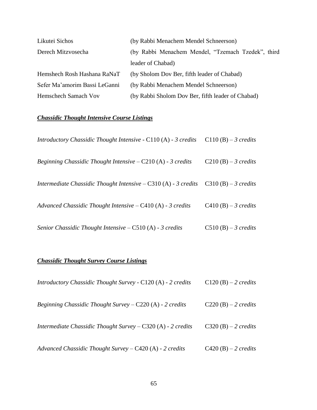| Likutei Sichos                | (by Rabbi Menachem Mendel Schneerson)              |
|-------------------------------|----------------------------------------------------|
| Derech Mitzvosecha            | (by Rabbi Menachem Mendel, "Tzemach Tzedek", third |
|                               | leader of Chabad)                                  |
| Hemshech Rosh Hashana RaNaT   | (by Sholom Dov Ber, fifth leader of Chabad)        |
| Sefer Ma'amorim Bassi LeGanni | (by Rabbi Menachem Mendel Schneerson)              |
| Hemschech Samach Vov          | (by Rabbi Sholom Dov Ber, fifth leader of Chabad)  |

# *Chassidic Thought Intensive Course Listings*

| <i>Introductory Chassidic Thought Intensive - C110 (A) - 3 credits</i>                 | C110 (B) $-$ 3 credits |
|----------------------------------------------------------------------------------------|------------------------|
| <i>Beginning Chassidic Thought Intensive – C210 (A) - 3 credits</i>                    | $C210(B) - 3c$ redits  |
| Intermediate Chassidic Thought Intensive $-$ C310 (A) - 3 credits C310 (B) - 3 credits |                        |
| Advanced Chassidic Thought Intensive $-C410(A)$ - 3 credits                            | $C410(B) - 3c$ redits  |
| Senior Chassidic Thought Intensive $- C510(A) - 3$ credits                             | $C510(B) - 3c$ redits  |

# *Chassidic Thought Survey Course Listings*

| Introductory Chassidic Thought Survey - C120 (A) - 2 credits     | $C120(B) - 2$ credits         |
|------------------------------------------------------------------|-------------------------------|
| <i>Beginning Chassidic Thought Survey – C220 (A) - 2 credits</i> | $C220(B) - 2 \text{ credits}$ |
| Intermediate Chassidic Thought Survey $-$ C320 (A) - 2 credits   | $C320(B) - 2$ credits         |
| Advanced Chassidic Thought Survey $-$ C420 (A) - 2 credits       | C420 (B) $-2$ credits         |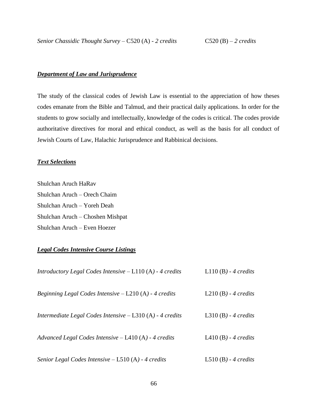#### <span id="page-65-0"></span>*Department of Law and Jurisprudence*

The study of the classical codes of Jewish Law is essential to the appreciation of how theses codes emanate from the Bible and Talmud, and their practical daily applications. In order for the students to grow socially and intellectually, knowledge of the codes is critical. The codes provide authoritative directives for moral and ethical conduct, as well as the basis for all conduct of Jewish Courts of Law, Halachic Jurisprudence and Rabbinical decisions.

## *Text Selections*

Shulchan Aruch HaRav Shulchan Aruch – Orech Chaim Shulchan Aruch – Yoreh Deah Shulchan Aruch – Choshen Mishpat Shulchan Aruch – Even Hoezer

### *Legal Codes Intensive Course Listings*

| Introductory Legal Codes Intensive $-L110(A)$ - 4 credits   | L110 $(B)$ - 4 credits |
|-------------------------------------------------------------|------------------------|
| Beginning Legal Codes Intensive $-$ L210 (A) - 4 credits    | L210 $(B)$ - 4 credits |
| Intermediate Legal Codes Intensive $-$ L310 (A) - 4 credits | L310 $(B)$ - 4 credits |
| Advanced Legal Codes Intensive $-$ L410 (A) - 4 credits     | L410 $(B)$ - 4 credits |
| Senior Legal Codes Intensive $-$ L510 (A) - 4 credits       | L510 $(B)$ - 4 credits |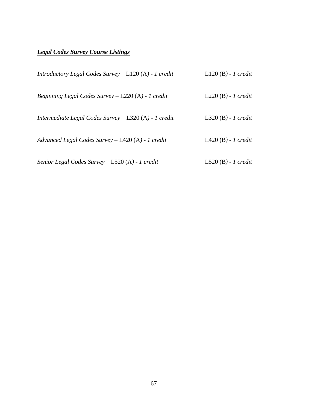# *Legal Codes Survey Course Listings*

| <i>Introductory Legal Codes Survey – L120 (A) - 1 credit</i>  | $L120(B) - 1 \; credit$ |
|---------------------------------------------------------------|-------------------------|
| <i>Beginning Legal Codes Survey</i> $-$ L220 (A) $-$ 1 credit | $L220(B) - 1$ credit    |
| Intermediate Legal Codes Survey $-$ L320 (A) - 1 credit       | L320 $(B)$ - 1 credit   |
| Advanced Legal Codes Survey $-$ L420 (A) - 1 credit           | L $420(B)$ - 1 credit   |
| Senior Legal Codes Survey $-$ L520 (A) - 1 credit             | $L520(B) - 1 credit$    |